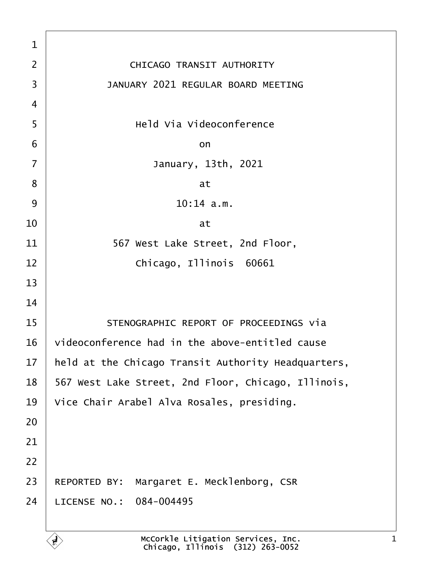| 1              |                                                     |
|----------------|-----------------------------------------------------|
| $\overline{2}$ | <b>CHICAGO TRANSIT AUTHORITY</b>                    |
| 3              | <b>JANUARY 2021 REGULAR BOARD MEETING</b>           |
| 4              |                                                     |
| 5              | <b>Held Via Videoconference</b>                     |
| 6              | on                                                  |
| 7              | January, 13th, 2021                                 |
| 8              | at                                                  |
| 9              | $10:14$ a.m.                                        |
| 10             | at                                                  |
| 11             | 567 West Lake Street, 2nd Floor,                    |
| 12             | Chicago, Illinois 60661                             |
| 13             |                                                     |
| 14             |                                                     |
| 15             | STENOGRAPHIC REPORT OF PROCEEDINGS via              |
| 16             | videoconference had in the above-entitled cause     |
| 17             | held at the Chicago Transit Authority Headquarters, |
| 18             | 567 West Lake Street, 2nd Floor, Chicago, Illinois, |
| 19             | Vice Chair Arabel Alva Rosales, presiding.          |
| 20             |                                                     |
| 21             |                                                     |
| 22             |                                                     |
| 23             | REPORTED BY: Margaret E. Mecklenborg, CSR           |
| 24             | LICENSE NO.: 084-004495                             |
|                |                                                     |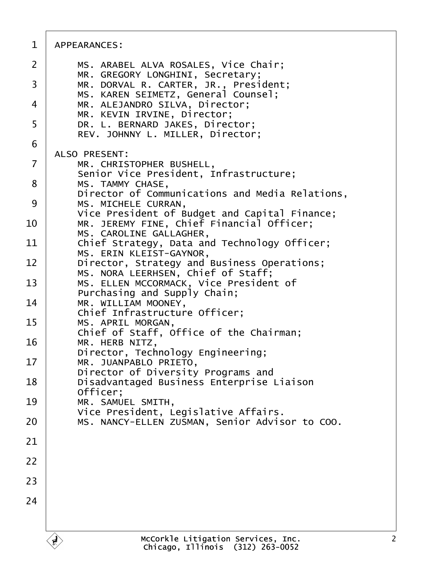| 1  | <b>APPEARANCES:</b>                                                                        |
|----|--------------------------------------------------------------------------------------------|
| 2  | MS. ARABEL ALVA ROSALES, Vice Chair;<br>MR. GREGORY LONGHINI, Secretary;                   |
| 3  | MR. DORVAL R. CARTER, JR., President;<br>MS. KAREN SEIMETZ, General Counsel;               |
| 4  | MR. ALEJANDRO SILVA, Director;<br>MR. KEVIN IRVINE, Director;                              |
| 5  | DR. L. BERNARD JAKES, Director;<br>REV. JOHNNY L. MILLER, Director;                        |
| 6  |                                                                                            |
| 7  | <b>ALSO PRESENT:</b><br>MR. CHRISTOPHER BUSHELL,                                           |
| 8  | Senior Vice President, Infrastructure;<br>MS. TAMMY CHASE,                                 |
| 9  | Director of Communications and Media Relations,<br>MS. MICHELE CURRAN,                     |
| 10 | Vice President of Budget and Capital Finance;<br>MR. JEREMY FINE, Chief Financial Officer; |
| 11 | MS. CAROLINE GALLAGHER,<br>Chief Strategy, Data and Technology Officer;                    |
|    | MS. ERIN KLEIST-GAYNOR,                                                                    |
| 12 | Director, Strategy and Business Operations;<br>MS. NORA LEERHSEN, Chief of Staff;          |
| 13 | MS. ELLEN MCCORMACK, Vice President of<br>Purchasing and Supply Chain;                     |
| 14 | MR. WILLIAM MOONEY,<br>Chief Infrastructure Officer;                                       |
| 15 | MS. APRIL MORGAN,<br>Chief of Staff, Office of the Chairman;                               |
| 16 | MR. HERB NITZ,<br>Director, Technology Engineering;                                        |
| 17 | MR. JUANPABLO PRIETO,                                                                      |
| 18 | Director of Diversity Programs and<br>Disadvantaged Business Enterprise Liaison            |
| 19 | Officer;<br>MR. SAMUEL SMITH,                                                              |
| 20 | Vice President, Legislative Affairs.<br>MS. NANCY-ELLEN ZUSMAN, Senior Advisor to COO.     |
| 21 |                                                                                            |
| 22 |                                                                                            |
| 23 |                                                                                            |
| 24 |                                                                                            |
|    |                                                                                            |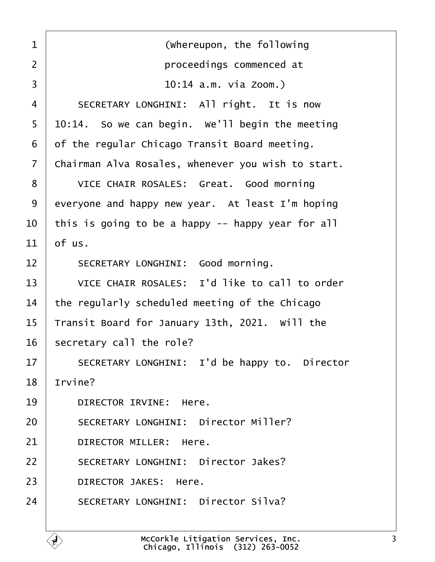<span id="page-2-0"></span>

| 1              | (Whereupon, the following                          |
|----------------|----------------------------------------------------|
| 2              | proceedings commenced at                           |
| 3              | 10:14 a.m. via Zoom.)                              |
| 4              | SECRETARY LONGHINI: All right. It is now           |
| 5              | $10:14$ . So we can begin. We'll begin the meeting |
| 6              | of the regular Chicago Transit Board meeting.      |
| $\overline{7}$ | Chairman Alva Rosales, whenever you wish to start. |
| 8              | VICE CHAIR ROSALES: Great. Good morning            |
| 9              | everyone and happy new year. At least I'm hoping   |
| 10             | this is going to be a happy -- happy year for all  |
| 11             | of us.                                             |
| 12             | SECRETARY LONGHINI: Good morning.                  |
| 13             | VICE CHAIR ROSALES: I'd like to call to order      |
| 14             | the regularly scheduled meeting of the Chicago     |
| 15             | Transit Board for January 13th, 2021. Will the     |
| 16             | secretary call the role?                           |
| 17             | SECRETARY LONGHINI: I'd be happy to. Director      |
| 18             | Irvine?                                            |
| 19             | DIRECTOR IRVINE: Here.                             |
| 20             | <b>SECRETARY LONGHINI: Director Miller?</b>        |
| 21             | DIRECTOR MILLER: Here.                             |
| 22             | <b>SECRETARY LONGHINI: Director Jakes?</b>         |
| 23             | <b>DIRECTOR JAKES: Here.</b>                       |
| 24             | <b>SECRETARY LONGHINI: Director Silva?</b>         |
|                |                                                    |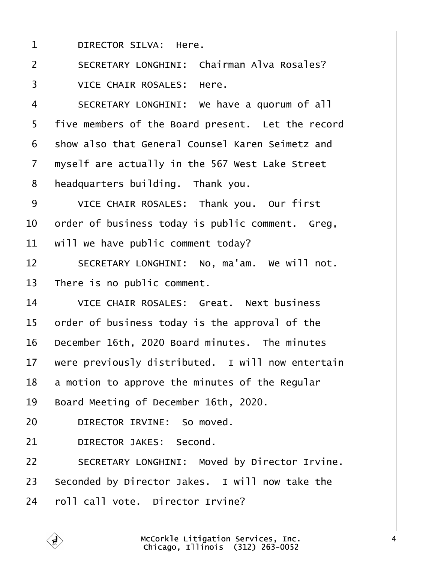<span id="page-3-0"></span>

| 1              | <b>DIRECTOR SILVA: Here.</b>                         |
|----------------|------------------------------------------------------|
| $\overline{2}$ | <b>SECRETARY LONGHINI: Chairman Alva Rosales?</b>    |
| 3              | <b>VICE CHAIR ROSALES: Here.</b>                     |
| 4              | SECRETARY LONGHINI: We have a quorum of all          |
| 5              | five members of the Board present. Let the record    |
| 6              | show also that General Counsel Karen Seimetz and     |
| 7              | myself are actually in the 567 West Lake Street      |
| 8              | headquarters building. Thank you.                    |
| 9              | VICE CHAIR ROSALES: Thank you. Our first             |
| 10             | order of business today is public comment. Greg,     |
| 11             | will we have public comment today?                   |
| 12             | SECRETARY LONGHINI: No, ma'am. We will not.          |
| 13             | There is no public comment.                          |
| 14             | <b>VICE CHAIR ROSALES: Great. Next business</b>      |
| 15             | order of business today is the approval of the       |
| 16             | December 16th, 2020 Board minutes. The minutes       |
| 17             | were previously distributed. I will now entertain    |
| 18             | a motion to approve the minutes of the Regular       |
| 19             | Board Meeting of December 16th, 2020.                |
| 20             | DIRECTOR IRVINE: So moved.                           |
| 21             | <b>DIRECTOR JAKES: Second.</b>                       |
| 22             | <b>SECRETARY LONGHINI: Moved by Director Irvine.</b> |
| 23             | Seconded by Director Jakes. I will now take the      |
| 24             | roll call vote. Director Irvine?                     |

Г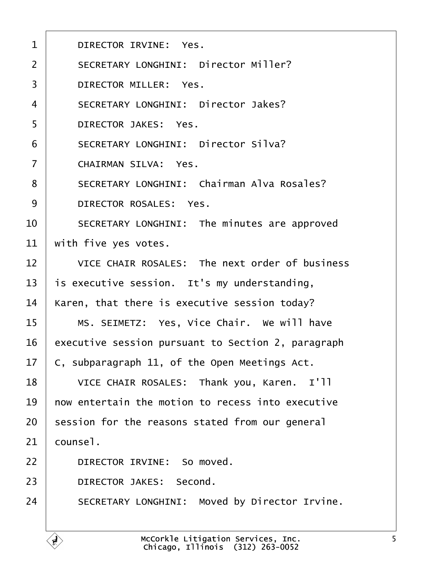<span id="page-4-0"></span>

| 1              | DIRECTOR IRVINE: Yes.                                |
|----------------|------------------------------------------------------|
| 2              | <b>SECRETARY LONGHINI: Director Miller?</b>          |
| 3              | <b>DIRECTOR MILLER: Yes.</b>                         |
| 4              | <b>SECRETARY LONGHINI: Director Jakes?</b>           |
| 5              | <b>DIRECTOR JAKES: Yes.</b>                          |
| 6              | <b>SECRETARY LONGHINI: Director Silva?</b>           |
| $\overline{7}$ | <b>CHAIRMAN SILVA: Yes.</b>                          |
| 8              | <b>SECRETARY LONGHINI: Chairman Alva Rosales?</b>    |
| 9              | DIRECTOR ROSALES: Yes.                               |
| 10             | SECRETARY LONGHINI: The minutes are approved         |
| 11             | with five yes votes.                                 |
| 12             | VICE CHAIR ROSALES: The next order of business       |
| 13             | is executive session. It's my understanding,         |
| 14             | Karen, that there is executive session today?        |
| 15             | MS. SEIMETZ: Yes, Vice Chair. We will have           |
| 16             | executive session pursuant to Section 2, paragraph   |
| 17             | C, subparagraph 11, of the Open Meetings Act.        |
| 18             | VICE CHAIR ROSALES: Thank you, Karen. I'll           |
| 19             | how entertain the motion to recess into executive    |
| 20             | session for the reasons stated from our general      |
| 21             | counsel.                                             |
| 22             | DIRECTOR IRVINE: So moved.                           |
| 23             | <b>DIRECTOR JAKES: Second.</b>                       |
| 24             | <b>SECRETARY LONGHINI: Moved by Director Irvine.</b> |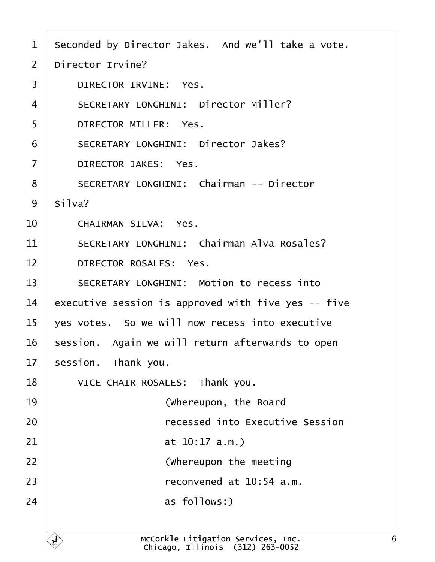- <span id="page-5-0"></span>1 Seconded by Director Jakes. And we'll take a vote.
- 2 Director Irvine?
- 3 | DIRECTOR IRVINE: Yes.
- 4 | SECRETARY LONGHINI: Director Miller?
- 5 | DIRECTOR MILLER: Yes.
- 6 | SECRETARY LONGHINI: Director Jakes?
- 7 | DIRECTOR JAKES: Yes.
- 8 | SECRETARY LONGHINI: Chairman -- Director
- 9 Silva?
- $10~\pm~$  CHAIRMAN SILVA: Yes.
- 11 | SECRETARY LONGHINI: Chairman Alva Rosales?
- 12 | DIRECTOR ROSALES: Yes.
- 13 | SECRETARY LONGHINI: Motion to recess into
- 14 executive session is approved with five yes -- five
- $15$  ves votes. So we will now recess into executive
- 16 session. Again we will return afterwards to open
- 17 session. Thank you.
- 18 | VICE CHAIR ROSALES: Thank you. 19 | **Whereupon, the Board** 20 **Produce Figure 20** *recessed into Executive Session* 21 **at 10:17 a.m.)** 22 **I** (Whereupon the meeting 23  $\vert$  reconvened at 10:54 a.m.  $24$  as follows:)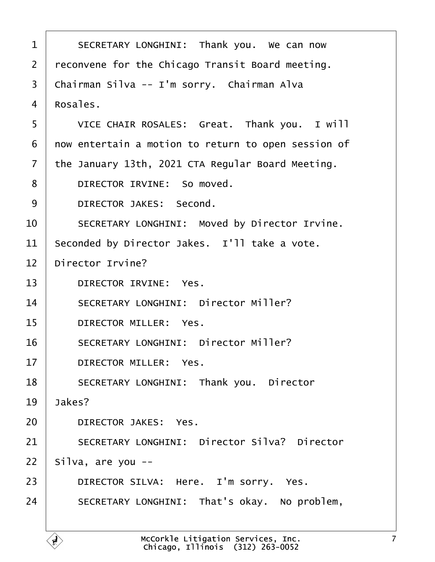<span id="page-6-0"></span>

| 1              | SECRETARY LONGHINI: Thank you. We can now            |
|----------------|------------------------------------------------------|
| 2              | reconvene for the Chicago Transit Board meeting.     |
| 3              | Chairman Silva -- I'm sorry. Chairman Alva           |
| 4              | Rosales.                                             |
| 5              | VICE CHAIR ROSALES: Great. Thank you. I will         |
| 6              | now entertain a motion to return to open session of  |
| $\overline{7}$ | the January 13th, 2021 CTA Regular Board Meeting.    |
| 8              | DIRECTOR IRVINE: So moved.                           |
| 9              | DIRECTOR JAKES: Second.                              |
| 10             | <b>SECRETARY LONGHINI: Moved by Director Irvine.</b> |
| 11             | Seconded by Director Jakes. I'll take a vote.        |
| 12             | Director Irvine?                                     |
| 13             | DIRECTOR IRVINE: Yes.                                |
| 14             | <b>SECRETARY LONGHINI: Director Miller?</b>          |
| 15             | <b>DIRECTOR MILLER: Yes.</b>                         |
| 16             | <b>SECRETARY LONGHINI: Director Miller?</b>          |
| 17             | DIRECTOR MILLER: Yes.                                |
| 18             | <b>SECRETARY LONGHINI: Thank you. Director</b>       |
| 19             | Jakes?                                               |
| 20             | <b>DIRECTOR JAKES: Yes.</b>                          |
| 21             | <b>SECRETARY LONGHINI: Director Silva? Director</b>  |
| 22             | Silva, are you --                                    |
| 23             | DIRECTOR SILVA: Here. I'm sorry. Yes.                |
| 24             | SECRETARY LONGHINI: That's okay. No problem,         |
|                |                                                      |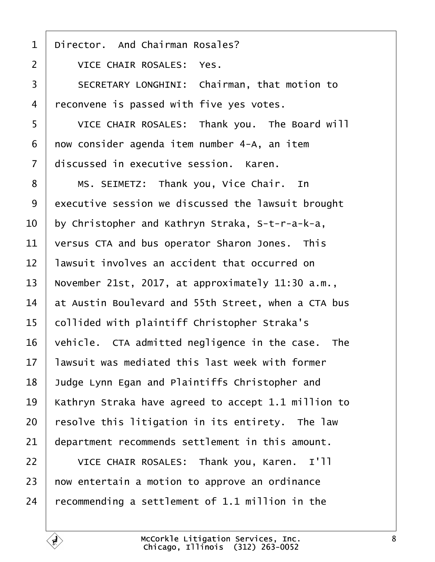- <span id="page-7-0"></span>1 Director. And Chairman Rosales?
- 2 VICE CHAIR ROSALES: Yes.
- 3 | SECRETARY LONGHINI: Chairman, that motion to
- 4 reconvene is passed with five yes votes.
- 5 VICE CHAIR ROSALES: Thank you. The Board will
- 6 now consider agenda item number 4-A, an item
- 7 discussed in executive session. Karen.
- 8 | MS. SEIMETZ: Thank you, Vice Chair. In
- 9 executive session we discussed the lawsuit brought
- 10 by Christopher and Kathryn Straka, S-t-r-a-k-a,
- 11 versus CTA and bus operator Sharon Jones. This
- 12 lawsuit involves an accident that occurred on
- 13 November 21st, 2017, at approximately 11:30 a.m.,
- 14 at Austin Boulevard and 55th Street, when a CTA bus
- 15 collided with plaintiff Christopher Straka's
- 16 vehicle. CTA admitted negligence in the case. The
- 17 lawsuit was mediated this last week with former
- 18 Judge Lynn Egan and Plaintiffs Christopher and
- 19 Kathryn Straka have agreed to accept 1.1 million to
- 20 resolve this litigation in its entirety. The law
- 21 department recommends settlement in this amount.
- 22 | VICE CHAIR ROSALES: Thank you, Karen. I'll
- 23 how entertain a motion to approve an ordinance
- 24 recommending a settlement of 1.1 million in the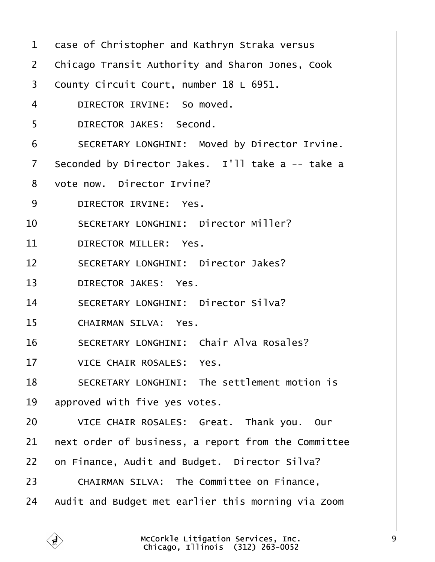<span id="page-8-0"></span>

| 1              | dase of Christopher and Kathryn Straka versus           |
|----------------|---------------------------------------------------------|
| 2              | <b>Chicago Transit Authority and Sharon Jones, Cook</b> |
| 3              | County Circuit Court, number 18 L 6951.                 |
| 4              | DIRECTOR IRVINE: So moved.                              |
| 5              | DIRECTOR JAKES: Second.                                 |
| 6              | <b>SECRETARY LONGHINI: Moved by Director Irvine.</b>    |
| $\overline{7}$ | Seconded by Director Jakes. I'll take a -- take a       |
| 8              | vote now. Director Irvine?                              |
| 9              | <b>DIRECTOR IRVINE: Yes.</b>                            |
| 10             | <b>SECRETARY LONGHINI: Director Miller?</b>             |
| 11             | DIRECTOR MILLER: Yes.                                   |
| 12             | <b>SECRETARY LONGHINI: Director Jakes?</b>              |
| 13             | <b>DIRECTOR JAKES: Yes.</b>                             |
| 14             | <b>SECRETARY LONGHINI: Director Silva?</b>              |
| 15             | <b>CHAIRMAN SILVA: Yes.</b>                             |
| 16             | <b>SECRETARY LONGHINI: Chair Alva Rosales?</b>          |
| 17             | <b>VICE CHAIR ROSALES: Yes.</b>                         |
| 18             | <b>SECRETARY LONGHINI: The settlement motion is</b>     |
| 19             | approved with five yes votes.                           |
| 20             | VICE CHAIR ROSALES: Great. Thank you. Our               |
| 21             | hext order of business, a report from the Committee     |
| 22             | on Finance, Audit and Budget. Director Silva?           |
| 23             | <b>CHAIRMAN SILVA: The Committee on Finance,</b>        |
| 24             | Audit and Budget met earlier this morning via Zoom      |
|                |                                                         |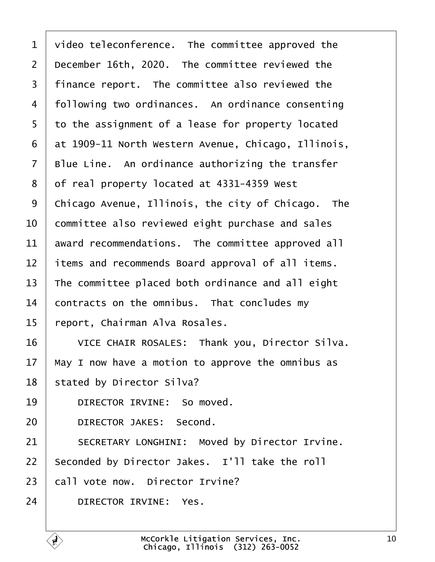<span id="page-9-0"></span>

| 1              | video teleconference. The committee approved the    |
|----------------|-----------------------------------------------------|
| $\overline{2}$ | December 16th, 2020. The committee reviewed the     |
| 3              | finance report. The committee also reviewed the     |
| 4              | following two ordinances. An ordinance consenting   |
| 5              | to the assignment of a lease for property located   |
| 6              | at 1909-11 North Western Avenue, Chicago, Illinois, |
| 7              | Blue Line. An ordinance authorizing the transfer    |
| 8              | of real property located at 4331-4359 West          |
| 9              | Chicago Avenue, Illinois, the city of Chicago. The  |
| 10             | committee also reviewed eight purchase and sales    |
| 11             | award recommendations. The committee approved all   |
| 12             | items and recommends Board approval of all items.   |
| 13             | The committee placed both ordinance and all eight   |
| 14             | contracts on the omnibus. That concludes my         |
| 15             | report, Chairman Alva Rosales.                      |
| 16             | VICE CHAIR ROSALES: Thank you, Director Silva.      |
| 17             | May I now have a motion to approve the omnibus as   |
| 18             | stated by Director Silva?                           |
| 19             | DIRECTOR IRVINE: So moved.                          |
| 20             | <b>DIRECTOR JAKES: Second.</b>                      |
| 21             | SECRETARY LONGHINI: Moved by Director Irvine.       |
| 22             | Seconded by Director Jakes. I'll take the roll      |
| 23             | call vote now. Director Irvine?                     |
| 24             | DIRECTOR IRVINE: Yes.                               |
|                |                                                     |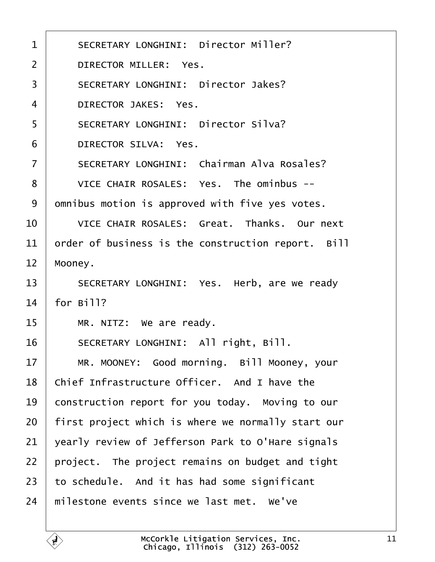<span id="page-10-0"></span>

| 1              | <b>SECRETARY LONGHINI: Director Miller?</b>        |
|----------------|----------------------------------------------------|
| $\overline{2}$ | <b>DIRECTOR MILLER: Yes.</b>                       |
| 3              | <b>SECRETARY LONGHINI: Director Jakes?</b>         |
| 4              | <b>DIRECTOR JAKES: Yes.</b>                        |
| 5              | <b>SECRETARY LONGHINI: Director Silva?</b>         |
| 6              | <b>DIRECTOR SILVA: Yes.</b>                        |
| $\overline{7}$ | <b>SECRETARY LONGHINI: Chairman Alva Rosales?</b>  |
| 8              | VICE CHAIR ROSALES: Yes. The ominbus --            |
| 9              | dmnibus motion is approved with five yes votes.    |
| 10             | VICE CHAIR ROSALES: Great. Thanks. Our next        |
| 11             | order of business is the construction report. Bill |
| 12             | Mooney.                                            |
| 13             | SECRETARY LONGHINI: Yes. Herb, are we ready        |
| 14             | for Bill?                                          |
| 15             | MR. NITZ: We are ready.                            |
| 16             | SECRETARY LONGHINI: All right, Bill.               |
| 17             | MR. MOONEY: Good morning. Bill Mooney, your        |
| 18             | Chief Infrastructure Officer. And I have the       |
| 19             | construction report for you today. Moving to our   |
| 20             | first project which is where we normally start our |
| 21             | yearly review of Jefferson Park to O'Hare signals  |
| 22             | project. The project remains on budget and tight   |
| 23             | to schedule. And it has had some significant       |
| 24             | milestone events since we last met. We've          |
|                |                                                    |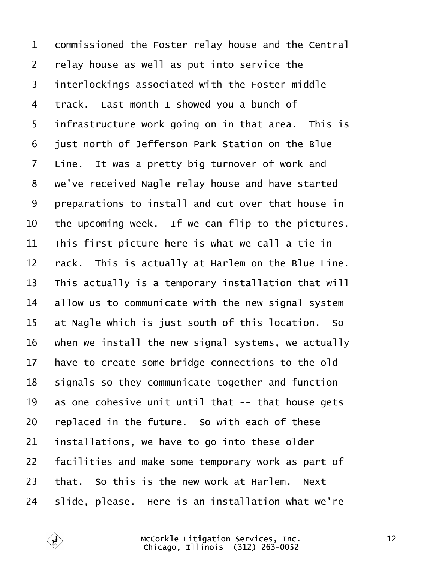<span id="page-11-0"></span>

| $\mathbf 1$    | dommissioned the Foster relay house and the Central |
|----------------|-----------------------------------------------------|
| $\overline{2}$ | relay house as well as put into service the         |
| 3              | interlockings associated with the Foster middle     |
| 4              | track. Last month I showed you a bunch of           |
| 5              | infrastructure work going on in that area. This is  |
| 6              | just north of Jefferson Park Station on the Blue    |
| $\overline{7}$ | Line. It was a pretty big turnover of work and      |
| 8              | we've received Nagle relay house and have started   |
| 9              | preparations to install and cut over that house in  |
| 10             | the upcoming week. If we can flip to the pictures.  |
| 11             | This first picture here is what we call a tie in    |
| 12             | rack. This is actually at Harlem on the Blue Line.  |
| 13             | This actually is a temporary installation that will |
| 14             | allow us to communicate with the new signal system  |
| 15             | at Nagle which is just south of this location. So   |
| 16             | when we install the new signal systems, we actually |
| 17             | have to create some bridge connections to the old   |
| 18             | signals so they communicate together and function   |
| 19             | as one cohesive unit until that -- that house gets  |
| 20             | replaced in the future. So with each of these       |
| 21             | installations, we have to go into these older       |
| 22             | facilities and make some temporary work as part of  |
| 23             | that. So this is the new work at Harlem. Next       |
| 24             | slide, please. Here is an installation what we're   |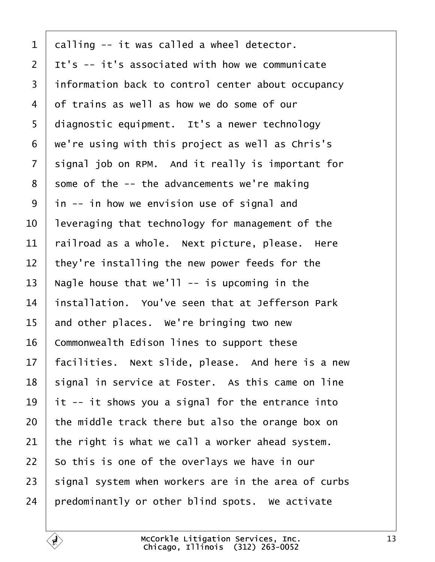<span id="page-12-0"></span>

| 1              | dalling -- it was called a wheel detector.          |
|----------------|-----------------------------------------------------|
| $\overline{2}$ | It's -- it's associated with how we communicate     |
| 3              | information back to control center about occupancy  |
| 4              | of trains as well as how we do some of our          |
| 5              | diagnostic equipment. It's a newer technology       |
| 6              | we're using with this project as well as Chris's    |
| $\overline{7}$ | signal job on RPM. And it really is important for   |
| 8              | some of the -- the advancements we're making        |
| 9              | in -- in how we envision use of signal and          |
| 10             | leveraging that technology for management of the    |
| 11             | railroad as a whole. Next picture, please. Here     |
| 12             | they're installing the new power feeds for the      |
| 13             | Nagle house that we'll -- is upcoming in the        |
| 14             | installation. You've seen that at Jefferson Park    |
| 15             | and other places. We're bringing two new            |
| 16             | Commonwealth Edison lines to support these          |
| 17             | facilities. Next slide, please. And here is a new   |
| 18             | signal in service at Foster. As this came on line   |
| 19             | It -- it shows you a signal for the entrance into   |
| 20             | the middle track there but also the orange box on   |
| 21             | the right is what we call a worker ahead system.    |
| 22             | So this is one of the overlays we have in our       |
| 23             | signal system when workers are in the area of curbs |
| 24             | predominantly or other blind spots. We activate     |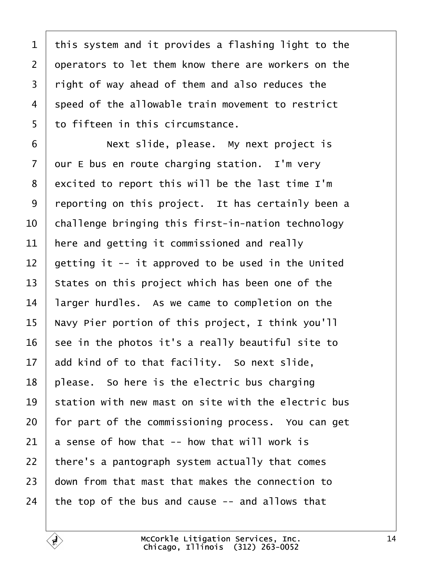<span id="page-13-0"></span>1 this system and it provides a flashing light to the 2 deperators to let them know there are workers on the 3 right of way ahead of them and also reduces the 4 speed of the allowable train movement to restrict 5 to fifteen in this circumstance. 6 **Next slide, please.** My next project is 7 dur E bus en route charging station. I'm very 8 excited to report this will be the last time I'm 9 reporting on this project. It has certainly been a 10 challenge bringing this first-in-nation technology 11 here and getting it commissioned and really 12 detting it -- it approved to be used in the United 13 States on this project which has been one of the 14 larger hurdles. As we came to completion on the 15 Navy Pier portion of this project, I think you'll 16  $\,$  see in the photos it's a really beautiful site to 17 add kind of to that facility. So next slide, 18 blease. So here is the electric bus charging 19 station with new mast on site with the electric bus 20 for part of the commissioning process. You can get 21  $\,$  a sense of how that -- how that will work is 22 there's a pantograph system actually that comes 23 down from that mast that makes the connection to 24 the top of the bus and cause -- and allows that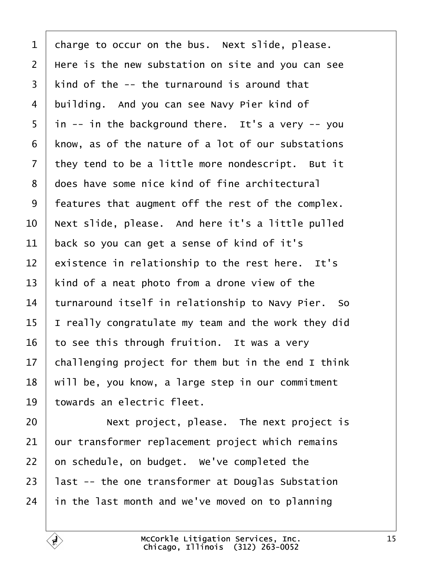<span id="page-14-0"></span>

| 1              | charge to occur on the bus. Next slide, please.     |
|----------------|-----------------------------------------------------|
| $\overline{2}$ | Here is the new substation on site and you can see  |
| 3              | kind of the -- the turnaround is around that        |
| 4              | building. And you can see Navy Pier kind of         |
| 5              | in -- in the background there. It's a very -- you   |
| 6              | know, as of the nature of a lot of our substations  |
| 7              | they tend to be a little more nondescript. But it   |
| 8              | does have some nice kind of fine architectural      |
| 9              | features that augment off the rest of the complex.  |
| 10             | Next slide, please. And here it's a little pulled   |
| 11             | back so you can get a sense of kind of it's         |
| 12             | existence in relationship to the rest here. It's    |
| 13             | kind of a neat photo from a drone view of the       |
| 14             | turnaround itself in relationship to Navy Pier. So  |
| 15             | really congratulate my team and the work they did   |
| 16             | to see this through fruition. It was a very         |
| 17             | challenging project for them but in the end I think |
| 18             | will be, you know, a large step in our commitment   |
| 19             | towards an electric fleet.                          |
| 20             | Next project, please. The next project is           |
| 21             | our transformer replacement project which remains   |
| 22             | on schedule, on budget. We've completed the         |
| 23             | last -- the one transformer at Douglas Substation   |
| 24             | in the last month and we've moved on to planning    |
|                |                                                     |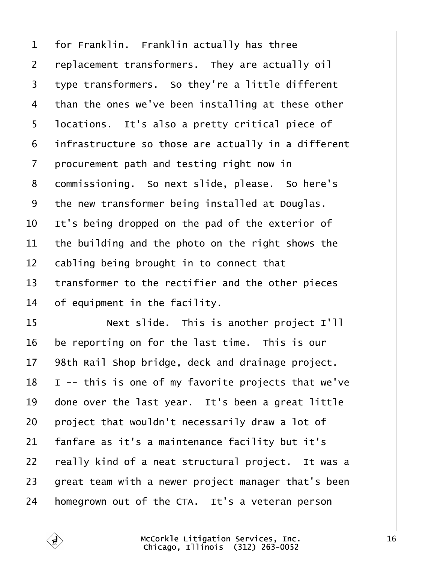<span id="page-15-0"></span>

| 1              | for Franklin. Franklin actually has three           |
|----------------|-----------------------------------------------------|
| $\overline{2}$ | replacement transformers. They are actually oil     |
| 3              | type transformers. So they're a little different    |
| 4              | than the ones we've been installing at these other  |
| 5              | Ipcations. It's also a pretty critical piece of     |
| 6              | infrastructure so those are actually in a different |
| 7              | procurement path and testing right now in           |
| 8              | dommissioning. So next slide, please. So here's     |
| 9              | the new transformer being installed at Douglas.     |
| 10             | It's being dropped on the pad of the exterior of    |
| 11             | the building and the photo on the right shows the   |
| 12             | cabling being brought in to connect that            |
| 13             | transformer to the rectifier and the other pieces   |
| 14             | of equipment in the facility.                       |
| 15             | Next slide. This is another project I'll            |
| 16             | be reporting on for the last time. This is our      |
| 17             | 98th Rail Shop bridge, deck and drainage project.   |
| 18             | -- this is one of my favorite projects that we've   |
| 19             | done over the last year. It's been a great little   |
| 20             | project that wouldn't necessarily draw a lot of     |
| 21             | fanfare as it's a maintenance facility but it's     |
| 22             | really kind of a neat structural project. It was a  |
| 23             | great team with a newer project manager that's been |
| 24             | homegrown out of the CTA. It's a veteran person     |
|                |                                                     |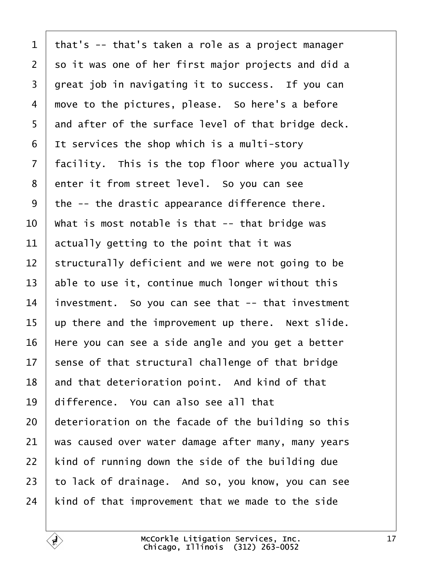<span id="page-16-0"></span>

| $\mathbf 1$     | that's -- that's taken a role as a project manager  |
|-----------------|-----------------------------------------------------|
| 2               | so it was one of her first major projects and did a |
| 3               | great job in navigating it to success. If you can   |
| 4               | move to the pictures, please. So here's a before    |
| 5               | and after of the surface level of that bridge deck. |
| 6               | It services the shop which is a multi-story         |
| $\overline{7}$  | facility. This is the top floor where you actually  |
| 8               | enter it from street level. So you can see          |
| 9               | the -- the drastic appearance difference there.     |
| 10              | What is most notable is that -- that bridge was     |
| 11              | actually getting to the point that it was           |
| 12              | structurally deficient and we were not going to be  |
| 13              | able to use it, continue much longer without this   |
| 14              | investment. So you can see that -- that investment  |
| 15              | up there and the improvement up there. Next slide.  |
| 16              | Here you can see a side angle and you get a better  |
| 17 <sub>2</sub> | sense of that structural challenge of that bridge   |
| 18              | and that deterioration point. And kind of that      |
| 19              | difference. You can also see all that               |
| 20              | deterioration on the facade of the building so this |
| 21              | was caused over water damage after many, many years |
| 22              | kind of running down the side of the building due   |
| 23              | to lack of drainage. And so, you know, you can see  |
| 24              | kind of that improvement that we made to the side   |
|                 |                                                     |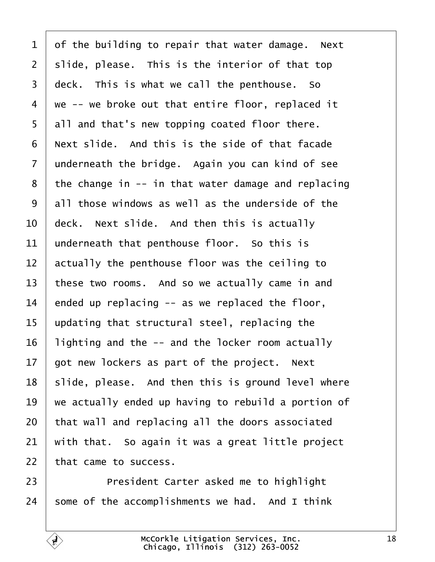<span id="page-17-0"></span>

| $\mathbf 1$    | of the building to repair that water damage. Next   |
|----------------|-----------------------------------------------------|
| $\overline{2}$ | slide, please. This is the interior of that top     |
| 3              | deck. This is what we call the penthouse. So        |
| $\overline{4}$ | we -- we broke out that entire floor, replaced it   |
| 5              | all and that's new topping coated floor there.      |
| 6              | Next slide. And this is the side of that facade     |
| $\overline{7}$ | underneath the bridge. Again you can kind of see    |
| 8              | the change in -- in that water damage and replacing |
| 9              | all those windows as well as the underside of the   |
| 10             | deck. Next slide. And then this is actually         |
| 11             | underneath that penthouse floor. So this is         |
| 12             | actually the penthouse floor was the ceiling to     |
| 13             | these two rooms. And so we actually came in and     |
| 14             | ended up replacing -- as we replaced the floor,     |
| 15             | updating that structural steel, replacing the       |
| 16             | lighting and the -- and the locker room actually    |
| 17             | got new lockers as part of the project. Next        |
| 18             | slide, please. And then this is ground level where  |
| 19             | we actually ended up having to rebuild a portion of |
| 20             | that wall and replacing all the doors associated    |
| 21             | with that. So again it was a great little project   |
| 22             | that came to success.                               |
| 23             | President Carter asked me to highlight              |
| 24             | some of the accomplishments we had. And I think     |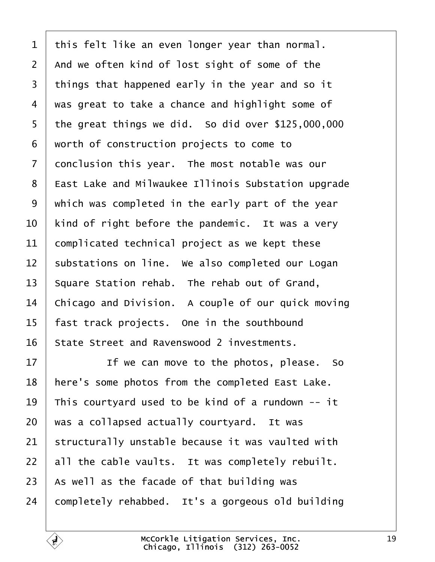<span id="page-18-0"></span>

| 1              | this felt like an even longer year than normal.     |
|----------------|-----------------------------------------------------|
| $\overline{2}$ | And we often kind of lost sight of some of the      |
| 3              | things that happened early in the year and so it    |
| 4              | was great to take a chance and highlight some of    |
| 5              | the great things we did. So did over \$125,000,000  |
| 6              | worth of construction projects to come to           |
| $\overline{7}$ | donclusion this year. The most notable was our      |
| 8              | East Lake and Milwaukee Illinois Substation upgrade |
| 9              | which was completed in the early part of the year   |
| 10             | kind of right before the pandemic. It was a very    |
| 11             | complicated technical project as we kept these      |
| 12             | substations on line. We also completed our Logan    |
| 13             | Square Station rehab. The rehab out of Grand,       |
| 14             | Chicago and Division. A couple of our quick moving  |
| 15             | fast track projects. One in the southbound          |
| 16             | State Street and Ravenswood 2 investments.          |
| 17             | If we can move to the photos, please. So            |
| 18             | here's some photos from the completed East Lake.    |
| 19             | This courtyard used to be kind of a rundown -- it   |
| 20             | was a collapsed actually courtyard. It was          |
| 21             | structurally unstable because it was vaulted with   |
| 22             | all the cable vaults. It was completely rebuilt.    |
| 23             | As well as the facade of that building was          |
| 24             | completely rehabbed. It's a gorgeous old building   |
|                |                                                     |

 $\overline{1}$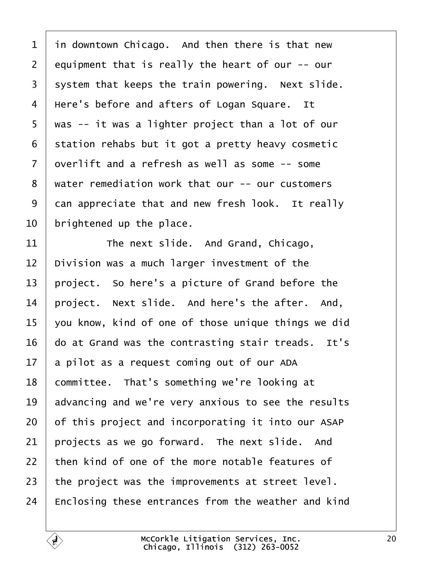<span id="page-19-0"></span>

| 1              | in downtown Chicago. And then there is that new     |
|----------------|-----------------------------------------------------|
| $\overline{2}$ | equipment that is really the heart of our -- our    |
| 3              | system that keeps the train powering. Next slide.   |
| 4              | Here's before and afters of Logan Square. It        |
| 5              | was -- it was a lighter project than a lot of our   |
| 6              | station rehabs but it got a pretty heavy cosmetic   |
| $\overline{7}$ | dverlift and a refresh as well as some -- some      |
| 8              | water remediation work that our -- our customers    |
| 9              | dan appreciate that and new fresh look. It really   |
| 10             | brightened up the place.                            |
| 11             | The next slide. And Grand, Chicago,                 |
| 12             | Division was a much larger investment of the        |
| 13             | project. So here's a picture of Grand before the    |
| 14             | project. Next slide. And here's the after. And,     |
| 15             | you know, kind of one of those unique things we did |
| 16             | do at Grand was the contrasting stair treads. It's  |
|                | 17 a pilot as a request coming out of our ADA       |
| 18             | committee. That's something we're looking at        |
| 19             | advancing and we're very anxious to see the results |
| 20             | of this project and incorporating it into our ASAP  |
| 21             | projects as we go forward. The next slide. And      |
| 22             | then kind of one of the more notable features of    |
| 23             | the project was the improvements at street level.   |
| 24             | Enclosing these entrances from the weather and kind |
|                |                                                     |

 $\lceil$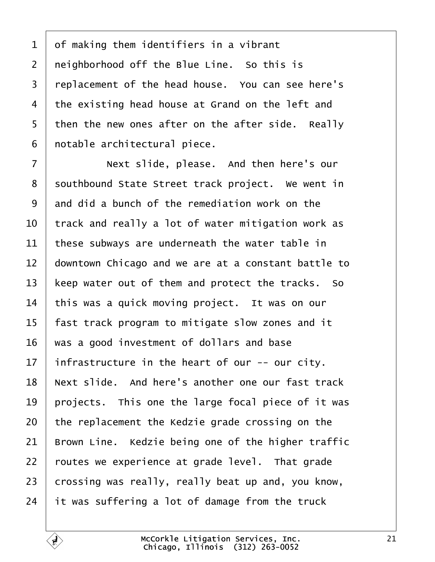<span id="page-20-0"></span>1 of making them identifiers in a vibrant 2 neighborhood off the Blue Line. So this is 3 replacement of the head house. You can see here's 4 the existing head house at Grand on the left and 5 then the new ones after on the after side. Really 6 notable architectural piece. 7 **Next slide, please.** And then here's our 8 southbound State Street track project. We went in 9 and did a bunch of the remediation work on the 10 track and really a lot of water mitigation work as 11 these subways are underneath the water table in 12 downtown Chicago and we are at a constant battle to 13 keep water out of them and protect the tracks. So 14 this was a quick moving project. It was on our 15 fast track program to mitigate slow zones and it 16 was a good investment of dollars and base 17 infrastructure in the heart of our -- our city. 18 Next slide. And here's another one our fast track 19 projects. This one the large focal piece of it was 20 the replacement the Kedzie grade crossing on the 21 Brown Line. Kedzie being one of the higher traffic 22 routes we experience at grade level. That grade 23 brossing was really, really beat up and, you know, 24  $\,$  it was suffering a lot of damage from the truck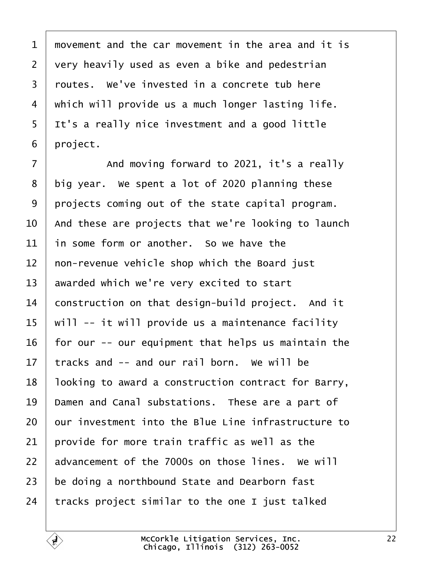<span id="page-21-0"></span>1 movement and the car movement in the area and it is 2 very heavily used as even a bike and pedestrian 3 routes. We've invested in a concrete tub here 4 which will provide us a much longer lasting life. 5 It's a really nice investment and a good little 6 project.  $7 \mid$  And moving forward to 2021, it's a really 8 big year. We spent a lot of 2020 planning these 9 projects coming out of the state capital program. 10 And these are projects that we're looking to launch 11 in some form or another. So we have the 12 hon-revenue vehicle shop which the Board just 13 awarded which we're very excited to start 14 **construction on that design-build project.** And it 15 will -- it will provide us a maintenance facility 16 for our -- our equipment that helps us maintain the 17 tracks and -- and our rail born. We will be 18 looking to award a construction contract for Barry, 19 Damen and Canal substations. These are a part of 20 bur investment into the Blue Line infrastructure to 21 brovide for more train traffic as well as the 22 advancement of the 7000s on those lines. We will 23 be doing a northbound State and Dearborn fast 24 tracks project similar to the one I just talked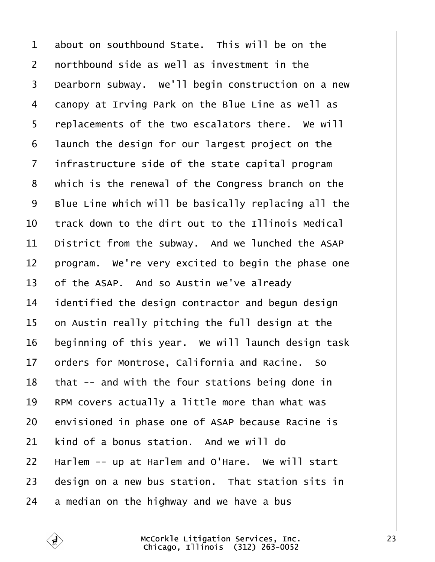<span id="page-22-0"></span>

| $\mathbf 1$    | about on southbound State. This will be on the      |
|----------------|-----------------------------------------------------|
| 2              | northbound side as well as investment in the        |
| 3              | Dearborn subway. We'll begin construction on a new  |
| 4              | danopy at Irving Park on the Blue Line as well as   |
| 5              | replacements of the two escalators there. We will   |
| 6              | launch the design for our largest project on the    |
| $\overline{7}$ | infrastructure side of the state capital program    |
| 8              | which is the renewal of the Congress branch on the  |
| 9              | Blue Line which will be basically replacing all the |
| 10             | track down to the dirt out to the Illinois Medical  |
| 11             | District from the subway. And we lunched the ASAP   |
| 12             | program. We're very excited to begin the phase one  |
| 13             | of the ASAP. And so Austin we've already            |
| 14             | identified the design contractor and begun design   |
| 15             | on Austin really pitching the full design at the    |
| 16             | beginning of this year. We will launch design task  |
| 17             | prders for Montrose, California and Racine. So      |
| 18             | that -- and with the four stations being done in    |
| 19             | RPM covers actually a little more than what was     |
| 20             | envisioned in phase one of ASAP because Racine is   |
| 21             | kind of a bonus station. And we will do             |
| 22             | Harlem -- up at Harlem and O'Hare. We will start    |
| 23             | design on a new bus station. That station sits in   |
| 24             | a median on the highway and we have a bus           |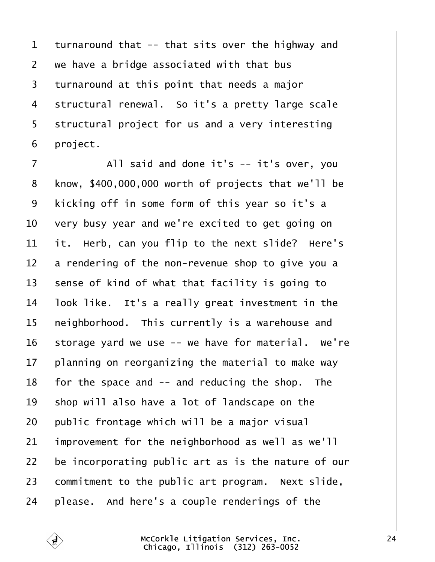<span id="page-23-0"></span>1 turnaround that -- that sits over the highway and 2 we have a bridge associated with that bus 3 turnaround at this point that needs a major 4 structural renewal. So it's a pretty large scale 5 structural project for us and a very interesting 6 project.  $7$  | All said and done it's  $-$  it's over, you 8 know, \$400,000,000 worth of projects that we'll be 9 kicking off in some form of this year so it's a 10 very busy year and we're excited to get going on 11  $\,$  it. Herb, can you flip to the next slide? Here's 12 a rendering of the non-revenue shop to give you a 13 sense of kind of what that facility is going to 14 look like. It's a really great investment in the 15 heighborhood. This currently is a warehouse and 16 storage yard we use -- we have for material. We're 17 blanning on reorganizing the material to make way 18 for the space and  $-$  and reducing the shop. The 19 shop will also have a lot of landscape on the 20 public frontage which will be a major visual 21 improvement for the neighborhood as well as we'll 22 be incorporating public art as is the nature of our 23 commitment to the public art program. Next slide, 24 please. And here's a couple renderings of the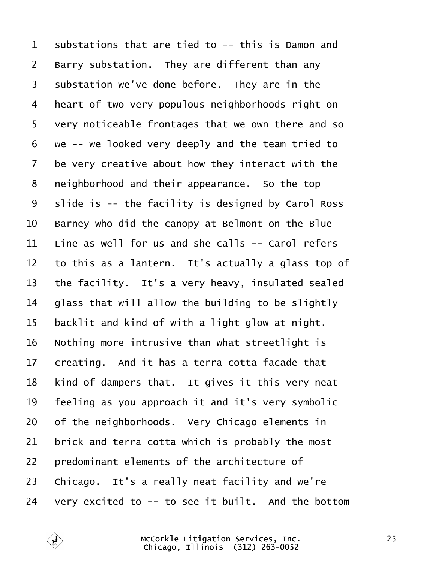<span id="page-24-0"></span>1 substations that are tied to -- this is Damon and 2 Barry substation. They are different than any 3 substation we've done before. They are in the 4 heart of two very populous neighborhoods right on 5 very noticeable frontages that we own there and so ·6· ·we -- we looked very deeply and the team tried to 7 be very creative about how they interact with the 8 reighborhood and their appearance. So the top 9 slide is -- the facility is designed by Carol Ross 10 Barney who did the canopy at Belmont on the Blue 11 Line as well for us and she calls -- Carol refers 12 to this as a lantern. It's actually a glass top of 13 the facility. It's a very heavy, insulated sealed 14 glass that will allow the building to be slightly 15 backlit and kind of with a light glow at night. 16 Nothing more intrusive than what streetlight is 17 creating. And it has a terra cotta facade that 18 kind of dampers that. It gives it this very neat 19 feeling as you approach it and it's very symbolic 20 of the neighborhoods. Very Chicago elements in 21 brick and terra cotta which is probably the most 22 bredominant elements of the architecture of 23 Chicago. It's a really neat facility and we're 24 very excited to  $-$  to see it built. And the bottom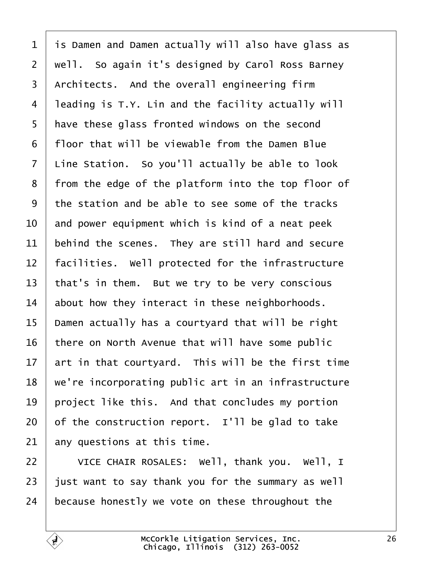<span id="page-25-0"></span>

| $\mathbf 1$    | is Damen and Damen actually will also have glass as |
|----------------|-----------------------------------------------------|
| $\overline{2}$ | well. So again it's designed by Carol Ross Barney   |
| 3              | Architects. And the overall engineering firm        |
| 4              | leading is T.Y. Lin and the facility actually will  |
| 5              | have these glass fronted windows on the second      |
| 6              | floor that will be viewable from the Damen Blue     |
| $\overline{7}$ | Line Station. So you'll actually be able to look    |
| 8              | from the edge of the platform into the top floor of |
| 9              | the station and be able to see some of the tracks   |
| 10             | and power equipment which is kind of a neat peek    |
| 11             | behind the scenes. They are still hard and secure   |
| 12             | acilities. Well protected for the infrastructure    |
| 13             | that's in them. But we try to be very conscious     |
| 14             | about how they interact in these neighborhoods.     |
| 15             | Damen actually has a courtyard that will be right   |
| 16             | here on North Avenue that will have some public     |
| 17             | art in that courtyard. This will be the first time  |
| 18             | we're incorporating public art in an infrastructure |
| 19             | project like this. And that concludes my portion    |
| 20             | of the construction report. I'll be glad to take    |
| 21             | any questions at this time.                         |
| 22             | VICE CHAIR ROSALES: Well, thank you. Well, I        |
| 23             | just want to say thank you for the summary as well  |
| 24             | because honestly we vote on these throughout the    |
|                |                                                     |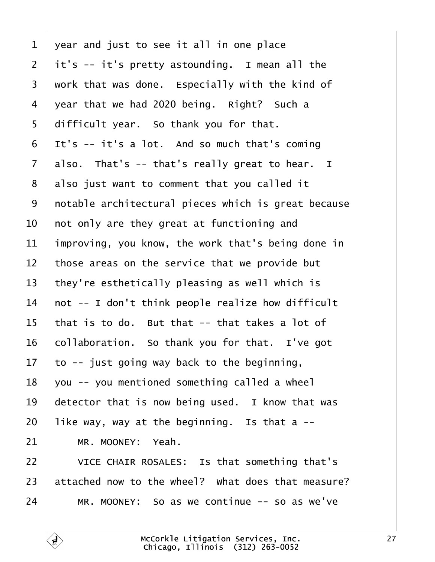<span id="page-26-0"></span>

| 1              | year and just to see it all in one place            |
|----------------|-----------------------------------------------------|
| $\overline{2}$ | it's -- it's pretty astounding. I mean all the      |
| 3              | work that was done. Especially with the kind of     |
| 4              | year that we had 2020 being. Right? Such a          |
| 5              | difficult year. So thank you for that.              |
| 6              | It's -- it's a lot. And so much that's coming       |
| $\overline{7}$ | also. That's -- that's really great to hear. I      |
| 8              | also just want to comment that you called it        |
| 9              | notable architectural pieces which is great because |
| 10             | hot only are they great at functioning and          |
| 11             | improving, you know, the work that's being done in  |
| 12             | those areas on the service that we provide but      |
| 13             | they're esthetically pleasing as well which is      |
| 14             | hot -- I don't think people realize how difficult   |
| 15             | that is to do. But that -- that takes a lot of      |
| 16             | collaboration. So thank you for that. I've got      |
| 17             | to -- just going way back to the beginning,         |
| 18             | you -- you mentioned something called a wheel       |
| 19             | detector that is now being used. I know that was    |
| 20             | like way, way at the beginning. Is that a --        |
| 21             | MR. MOONEY: Yeah.                                   |
| 22             | VICE CHAIR ROSALES: Is that something that's        |
| 23             | attached now to the wheel? What does that measure?  |
| 24             | MR. MOONEY: So as we continue -- so as we've        |
|                |                                                     |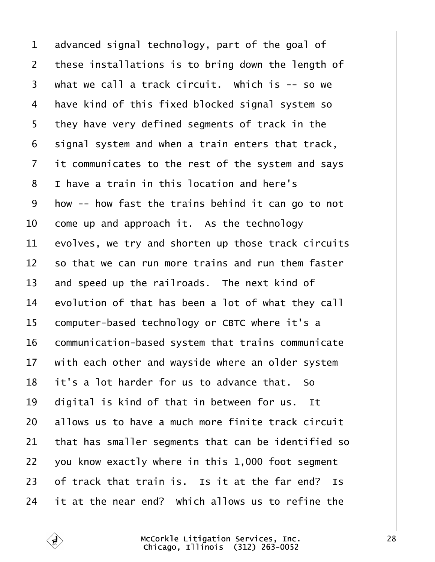<span id="page-27-0"></span>

| 1               | advanced signal technology, part of the goal of      |
|-----------------|------------------------------------------------------|
| $\overline{2}$  | these installations is to bring down the length of   |
| 3               | what we call a track circuit. Which is -- so we      |
| 4               | have kind of this fixed blocked signal system so     |
| 5               | they have very defined segments of track in the      |
| 6               | signal system and when a train enters that track,    |
| 7               | it communicates to the rest of the system and says   |
| 8               | I have a train in this location and here's           |
| 9               | How -- how fast the trains behind it can go to not   |
| 10              | come up and approach it. As the technology           |
| 11              | evolves, we try and shorten up those track circuits  |
| 12 <sub>2</sub> | so that we can run more trains and run them faster   |
| 13              | and speed up the railroads. The next kind of         |
| 14              | evolution of that has been a lot of what they call   |
| 15              | computer-based technology or CBTC where it's a       |
| 16              | communication-based system that trains communicate   |
|                 | 17 with each other and wayside where an older system |
| 18              | it's a lot harder for us to advance that. So         |
| 19              | digital is kind of that in between for us. It        |
| 20              | allows us to have a much more finite track circuit   |
| 21              | that has smaller segments that can be identified so  |
| 22              | you know exactly where in this 1,000 foot segment    |
| 23              | of track that train is. Is it at the far end? Is     |
| 24              | it at the near end? Which allows us to refine the    |
|                 |                                                      |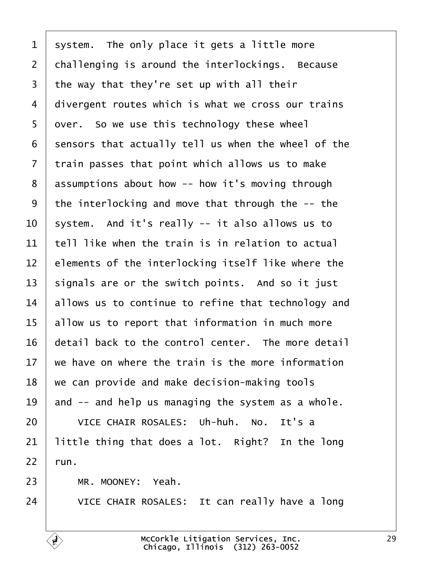<span id="page-28-0"></span>

| 1              | system. The only place it gets a little more        |
|----------------|-----------------------------------------------------|
| $\overline{2}$ | challenging is around the interlockings. Because    |
| 3              | the way that they're set up with all their          |
| 4              | divergent routes which is what we cross our trains  |
| 5              | over. So we use this technology these wheel         |
| 6              | sensors that actually tell us when the wheel of the |
| 7              | train passes that point which allows us to make     |
| 8              | assumptions about how -- how it's moving through    |
| 9              | the interlocking and move that through the -- the   |
| 10             | system. And it's really -- it also allows us to     |
| 11             | tell like when the train is in relation to actual   |
| 12             | elements of the interlocking itself like where the  |
| 13             | signals are or the switch points. And so it just    |
| 14             | allows us to continue to refine that technology and |
| 15             | allow us to report that information in much more    |
| 16             | detail back to the control center. The more detail  |
| 17             | we have on where the train is the more information  |
| 18             | we can provide and make decision-making tools       |
| 19             | and -- and help us managing the system as a whole.  |
| 20             | VICE CHAIR ROSALES: Uh-huh. No. It's a              |
| 21             | little thing that does a lot. Right? In the long    |
| 22             | run.                                                |
| 23             | MR. MOONEY: Yeah.                                   |
| 24             | VICE CHAIR ROSALES: It can really have a long       |
|                |                                                     |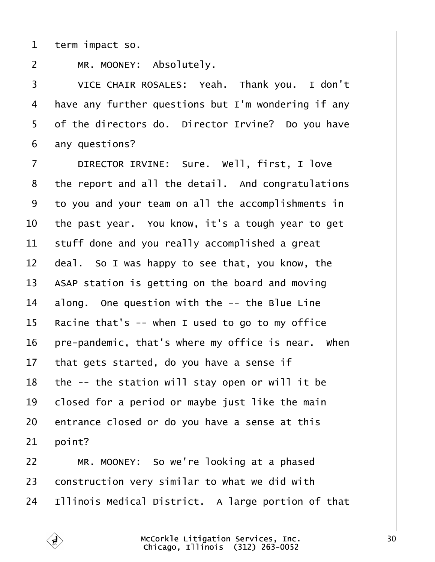<span id="page-29-0"></span>1 term impact so.

2 | MR. MOONEY: Absolutely.

3 | VICE CHAIR ROSALES: Yeah. Thank you. I don't 4 Have any further questions but I'm wondering if any 5 of the directors do. Director Irvine? Do you have 6 any questions? 7 | DIRECTOR IRVINE: Sure. Well, first, I love 8 the report and all the detail. And congratulations ·9· ·to you and your team on all the accomplishments in 10 the past year. You know, it's a tough year to get 11 stuff done and you really accomplished a great 12 deal. So I was happy to see that, you know, the 13 ASAP station is getting on the board and moving 14 along. One question with the -- the Blue Line 15 Racine that's -- when I used to go to my office 16 pre-pandemic, that's where my office is near. When 17 that gets started, do you have a sense if 18 the -- the station will stay open or will it be 19 blosed for a period or maybe just like the main 20 entrance closed or do you have a sense at this  $21$  boint? 22  $\parallel$  MR. MOONEY: So we're looking at a phased 23 construction very similar to what we did with 24 Illinois Medical District. A large portion of that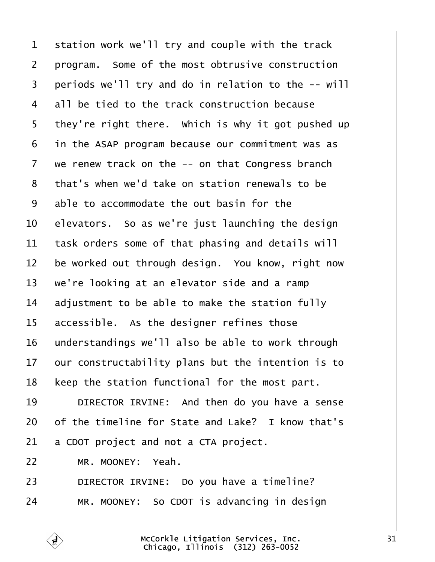<span id="page-30-0"></span>

| 1              | station work we'll try and couple with the track    |
|----------------|-----------------------------------------------------|
| $\overline{2}$ | program. Some of the most obtrusive construction    |
| 3              | periods we'll try and do in relation to the -- will |
| 4              | all be tied to the track construction because       |
| 5              | they're right there. Which is why it got pushed up  |
| 6              | in the ASAP program because our commitment was as   |
| 7              | we renew track on the -- on that Congress branch    |
| 8              | that's when we'd take on station renewals to be     |
| 9              | able to accommodate the out basin for the           |
| 10             | elevators. So as we're just launching the design    |
| 11             | task orders some of that phasing and details will   |
| 12             | be worked out through design. You know, right now   |
| 13             | we're looking at an elevator side and a ramp        |
| 14             | adjustment to be able to make the station fully     |
| 15             | accessible. As the designer refines those           |
| 16             | understandings we'll also be able to work through   |
| 17             | our constructability plans but the intention is to  |
| 18             | keep the station functional for the most part.      |
| 19             | DIRECTOR IRVINE: And then do you have a sense       |
| 20             | of the timeline for State and Lake? I know that's   |
| 21             | a CDOT project and not a CTA project.               |
| 22             | MR. MOONEY: Yeah.                                   |
| 23             | DIRECTOR IRVINE: Do you have a timeline?            |
| 24             | MR. MOONEY: So CDOT is advancing in design          |
|                |                                                     |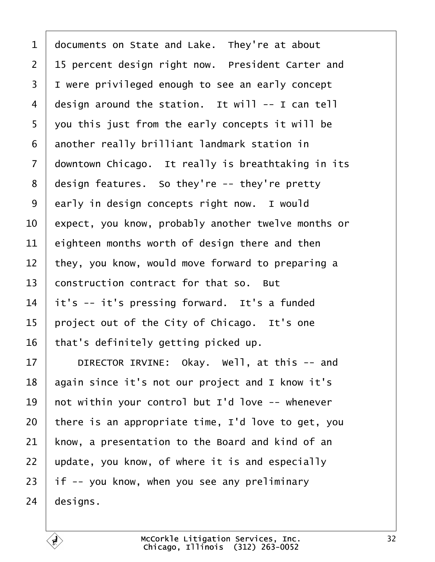<span id="page-31-0"></span>

| 1              | documents on State and Lake. They're at about       |
|----------------|-----------------------------------------------------|
| $\overline{2}$ | 15 percent design right now. President Carter and   |
| 3              | I were privileged enough to see an early concept    |
| 4              | design around the station. It will -- I can tell    |
| 5              | you this just from the early concepts it will be    |
| 6              | another really brilliant landmark station in        |
| 7              | downtown Chicago. It really is breathtaking in its  |
| 8              | design features. So they're -- they're pretty       |
| 9              | early in design concepts right now. I would         |
| 10             | expect, you know, probably another twelve months or |
| 11             | eighteen months worth of design there and then      |
| 12             | they, you know, would move forward to preparing a   |
| 13             | construction contract for that so. But              |
| 14             | it's -- it's pressing forward. It's a funded        |
| 15             | project out of the City of Chicago. It's one        |
| 16             | that's definitely getting picked up.                |
| 17             | DIRECTOR IRVINE: Okay. Well, at this -- and         |
| 18             | again since it's not our project and I know it's    |
| 19             | not within your control but I'd love -- whenever    |
| 20             | there is an appropriate time, I'd love to get, you  |
| 21             | know, a presentation to the Board and kind of an    |
| 22             | update, you know, of where it is and especially     |
| 23             | if -- you know, when you see any preliminary        |
| 24             | designs.                                            |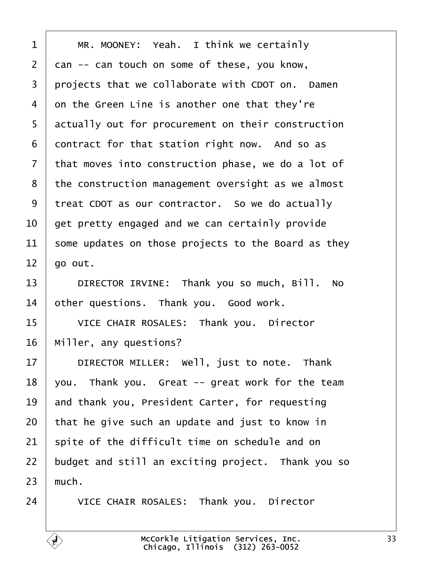<span id="page-32-0"></span>

| 1  | MR. MOONEY: Yeah. I think we certainly              |
|----|-----------------------------------------------------|
| 2  | dan -- can touch on some of these, you know,        |
| 3  | projects that we collaborate with CDOT on. Damen    |
| 4  | on the Green Line is another one that they're       |
| 5  | actually out for procurement on their construction  |
| 6  | contract for that station right now. And so as      |
| 7  | that moves into construction phase, we do a lot of  |
| 8  | the construction management oversight as we almost  |
| 9  | treat CDOT as our contractor. So we do actually     |
| 10 | get pretty engaged and we can certainly provide     |
| 11 | some updates on those projects to the Board as they |
| 12 | go out.                                             |
| 13 | DIRECTOR IRVINE: Thank you so much, Bill. No        |
| 14 | other questions. Thank you. Good work.              |
| 15 | VICE CHAIR ROSALES: Thank you. Director             |
| 16 | Miller, any questions?                              |
| 17 | DIRECTOR MILLER: Well, just to note. Thank          |
| 18 | you. Thank you. Great -- great work for the team    |
| 19 | and thank you, President Carter, for requesting     |
| 20 | that he give such an update and just to know in     |
| 21 | spite of the difficult time on schedule and on      |
| 22 | budget and still an exciting project. Thank you so  |
| 23 | much.                                               |
| 24 | VICE CHAIR ROSALES: Thank you. Director             |
|    |                                                     |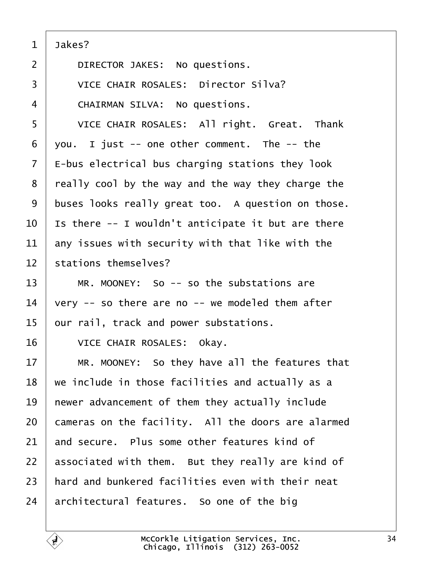<span id="page-33-0"></span>

| Jakes? |
|--------|
|        |

- 2 | DIRECTOR JAKES: No questions.
- 3 VICE CHAIR ROSALES: Director Silva?
- 4 CHAIRMAN SILVA: No questions.
- 5 | VICE CHAIR ROSALES: All right. Great. Thank
- $6$  you. I just -- one other comment. The  $-$  the
- $7$   $\pm$ -bus electrical bus charging stations they look
- 8 really cool by the way and the way they charge the
- 9 buses looks really great too. A question on those.
- 10 Is there -- I wouldn't anticipate it but are there
- 11 any issues with security with that like with the
- 12 stations themselves?
- $13 \parallel MR$ . MOONEY: So -- so the substations are
- 14  $\sqrt{v}$ ery -- so there are no -- we modeled them after
- 15 bur rail, track and power substations.
- 16 | VICE CHAIR ROSALES: Okay.
- 17 | MR. MOONEY: So they have all the features that
- 18 we include in those facilities and actually as a
- 19 hewer advancement of them they actually include
- 20 cameras on the facility. All the doors are alarmed
- 21 and secure. Plus some other features kind of
- 22 associated with them. But they really are kind of
- 23 hard and bunkered facilities even with their neat
- 24 architectural features. So one of the big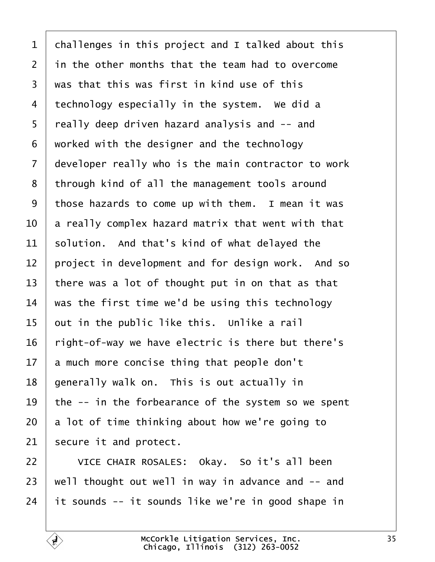<span id="page-34-0"></span>

| 1              | challenges in this project and I talked about this  |
|----------------|-----------------------------------------------------|
| $\overline{2}$ | in the other months that the team had to overcome   |
| 3              | was that this was first in kind use of this         |
| 4              | technology especially in the system. We did a       |
| 5              | really deep driven hazard analysis and -- and       |
| 6              | worked with the designer and the technology         |
| 7              | developer really who is the main contractor to work |
| 8              | through kind of all the management tools around     |
| 9              | those hazards to come up with them. I mean it was   |
| 10             | a really complex hazard matrix that went with that  |
| 11             | solution. And that's kind of what delayed the       |
| 12             | project in development and for design work. And so  |
| 13             | there was a lot of thought put in on that as that   |
| 14             | was the first time we'd be using this technology    |
| 15             | but in the public like this. Unlike a rail          |
| 16             | right-of-way we have electric is there but there's  |
| 17             | a much more concise thing that people don't         |
| 18             | generally walk on. This is out actually in          |
| 19             | the -- in the forbearance of the system so we spent |
| 20             | a lot of time thinking about how we're going to     |
| 21             | secure it and protect.                              |
| 22             | VICE CHAIR ROSALES: Okay. So it's all been          |
| 23             | well thought out well in way in advance and -- and  |
| 24             | It sounds -- it sounds like we're in good shape in  |
|                |                                                     |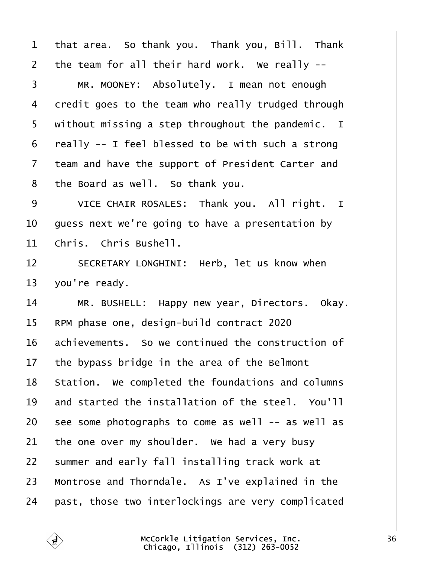<span id="page-35-0"></span>

| 1               | that area. So thank you. Thank you, Bill. Thank    |
|-----------------|----------------------------------------------------|
| $\overline{2}$  | the team for all their hard work. We really --     |
| 3               | MR. MOONEY: Absolutely. I mean not enough          |
| 4               | dredit goes to the team who really trudged through |
| 5               | without missing a step throughout the pandemic. I  |
| 6               | really -- I feel blessed to be with such a strong  |
| 7               | team and have the support of President Carter and  |
| 8               | the Board as well. So thank you.                   |
| 9               | VICE CHAIR ROSALES: Thank you. All right. I        |
| 10              | guess next we're going to have a presentation by   |
| 11              | Chris. Chris Bushell.                              |
| 12              | SECRETARY LONGHINI: Herb, let us know when         |
| 13              | you're ready.                                      |
| 14              | MR. BUSHELL: Happy new year, Directors. Okay.      |
| 15              | RPM phase one, design-build contract 2020          |
| 16              | achievements. So we continued the construction of  |
| 17 <sub>1</sub> | the bypass bridge in the area of the Belmont       |
| 18              | Station. We completed the foundations and columns  |
| 19              | and started the installation of the steel. You'll  |
| 20              | see some photographs to come as well -- as well as |
| 21              | the one over my shoulder. We had a very busy       |
| 22              | summer and early fall installing track work at     |
| 23              | Montrose and Thorndale. As I've explained in the   |
| 24              | past, those two interlockings are very complicated |
|                 |                                                    |

Г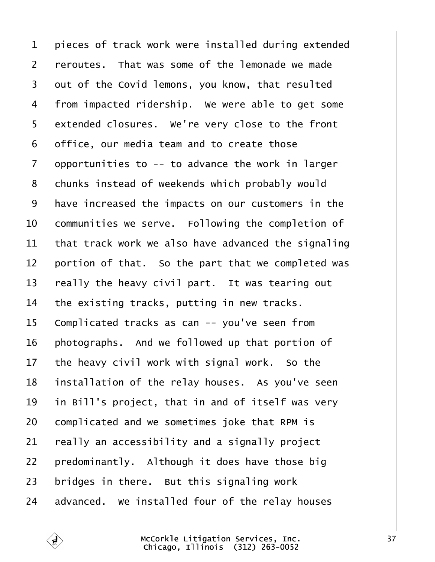<span id="page-36-0"></span>

| 1              | pieces of track work were installed during extended |
|----------------|-----------------------------------------------------|
| 2              | reroutes. That was some of the lemonade we made     |
| 3              | dut of the Covid lemons, you know, that resulted    |
| 4              | from impacted ridership. We were able to get some   |
| 5              | extended closures. We're very close to the front    |
| 6              | office, our media team and to create those          |
| $\overline{7}$ | opportunities to -- to advance the work in larger   |
| 8              | chunks instead of weekends which probably would     |
| 9              | have increased the impacts on our customers in the  |
| 10             | communities we serve. Following the completion of   |
| 11             | that track work we also have advanced the signaling |
| 12             | portion of that. So the part that we completed was  |
| 13             | really the heavy civil part. It was tearing out     |
| 14             | the existing tracks, putting in new tracks.         |
| 15             | Complicated tracks as can -- you've seen from       |
| 16             | photographs. And we followed up that portion of     |
| 17             | the heavy civil work with signal work. So the       |
| 18             | installation of the relay houses. As you've seen    |
| 19             | in Bill's project, that in and of itself was very   |
| 20             | complicated and we sometimes joke that RPM is       |
| 21             | really an accessibility and a signally project      |
| 22             | predominantly. Although it does have those big      |
| 23             | bridges in there. But this signaling work           |
| 24             | advanced. We installed four of the relay houses     |
|                |                                                     |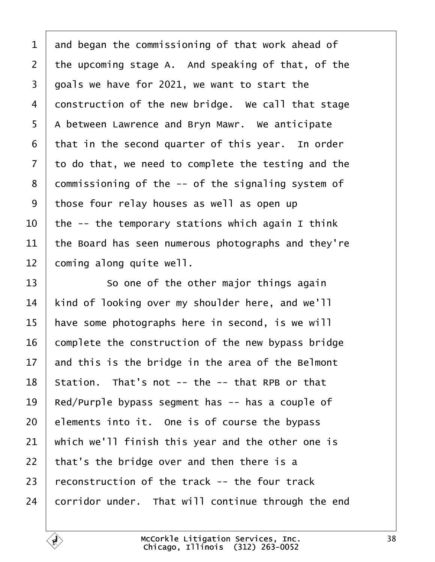<span id="page-37-0"></span>

| 1              | and began the commissioning of that work ahead of   |
|----------------|-----------------------------------------------------|
| $\overline{2}$ | the upcoming stage A. And speaking of that, of the  |
| 3              | goals we have for 2021, we want to start the        |
| 4              | donstruction of the new bridge. We call that stage  |
| 5              | A between Lawrence and Bryn Mawr. We anticipate     |
| 6              | that in the second quarter of this year. In order   |
| 7              | to do that, we need to complete the testing and the |
| 8              | dommissioning of the -- of the signaling system of  |
| 9              | those four relay houses as well as open up          |
| 10             | the -- the temporary stations which again I think   |
| 11             | the Board has seen numerous photographs and they're |
| 12             | coming along quite well.                            |
| 13             | So one of the other major things again              |
| 14             | kind of looking over my shoulder here, and we'll    |
| 15             | have some photographs here in second, is we will    |
| 16             | complete the construction of the new bypass bridge  |
| 17             | and this is the bridge in the area of the Belmont   |
| 18             | Station. That's not -- the -- that RPB or that      |
| 19             | Red/Purple bypass segment has -- has a couple of    |
| 20             | elements into it. One is of course the bypass       |
| 21             | which we'll finish this year and the other one is   |
| 22             | that's the bridge over and then there is a          |
| 23             | reconstruction of the track -- the four track       |
| 24             | corridor under. That will continue through the end  |
|                |                                                     |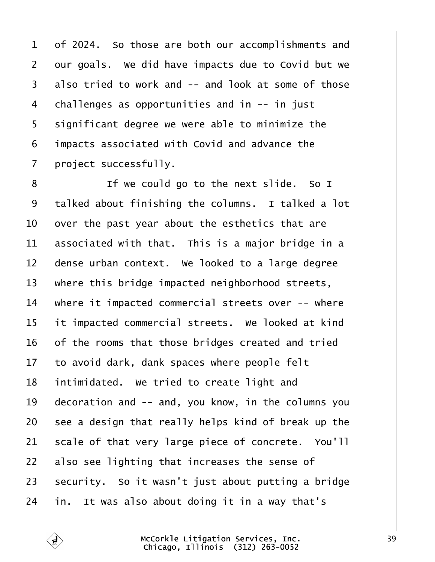<span id="page-38-0"></span>1 df 2024. So those are both our accomplishments and 2 dur goals. We did have impacts due to Covid but we 3 also tried to work and -- and look at some of those 4 challenges as opportunities and in -- in just 5 slignificant degree we were able to minimize the ·6· ·impacts associated with Covid and advance the 7 project successfully.

8 | If we could go to the next slide. So I 9 talked about finishing the columns. I talked a lot 10 by over the past year about the esthetics that are 11 **associated with that.** This is a major bridge in a 12 dense urban context. We looked to a large degree 13 where this bridge impacted neighborhood streets, 14 where it impacted commercial streets over -- where 15 it impacted commercial streets. We looked at kind 16 of the rooms that those bridges created and tried 17 to avoid dark, dank spaces where people felt 18 intimidated. We tried to create light and 19 decoration and -- and, you know, in the columns you 20 see a design that really helps kind of break up the 21 scale of that very large piece of concrete. You'll 22 also see lighting that increases the sense of 23 security. So it wasn't just about putting a bridge  $24$  in. It was also about doing it in a way that's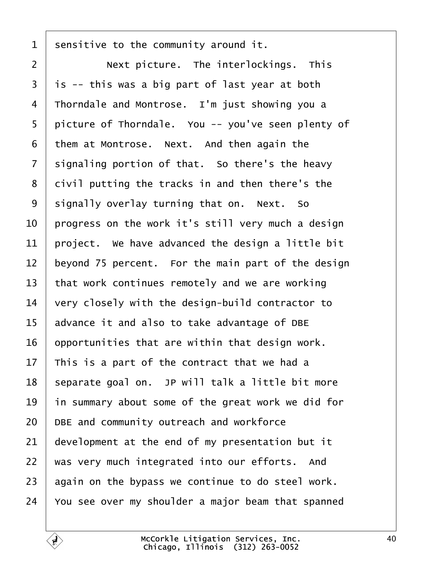<span id="page-39-0"></span>1 sensitive to the community around it. 2 | Next picture. The interlockings. This  $3$  is -- this was a big part of last year at both 4 Thorndale and Montrose. I'm just showing you a 5 picture of Thorndale. You -- you've seen plenty of 6 them at Montrose. Next. And then again the 7 signaling portion of that. So there's the heavy 8 divil putting the tracks in and then there's the 9 signally overlay turning that on. Next. So 10 progress on the work it's still very much a design 11 project. We have advanced the design a little bit 12 beyond 75 percent. For the main part of the design 13 that work continues remotely and we are working 14 very closely with the design-build contractor to 15 advance it and also to take advantage of DBE 16 by portunities that are within that design work. 17 This is a part of the contract that we had a 18 separate goal on. JP will talk a little bit more 19 in summary about some of the great work we did for 20 DBE and community outreach and workforce 21 development at the end of my presentation but it 22 was very much integrated into our efforts. And 23 again on the bypass we continue to do steel work. 24 You see over my shoulder a major beam that spanned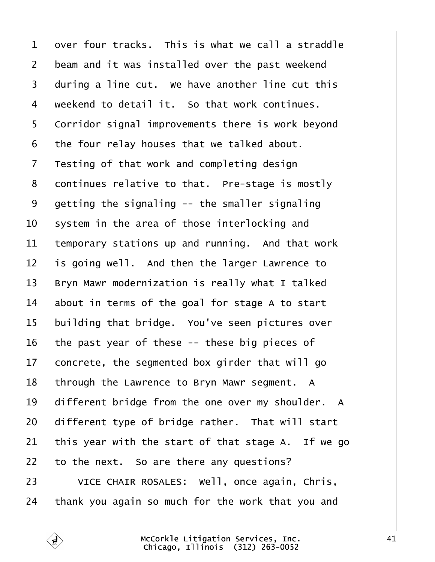<span id="page-40-0"></span>

| 1              | over four tracks. This is what we call a straddle  |
|----------------|----------------------------------------------------|
| $\overline{2}$ | beam and it was installed over the past weekend    |
| 3              | during a line cut. We have another line cut this   |
| 4              | weekend to detail it. So that work continues.      |
| 5              | Corridor signal improvements there is work beyond  |
| 6              | the four relay houses that we talked about.        |
| 7              | Testing of that work and completing design         |
| 8              | dontinues relative to that. Pre-stage is mostly    |
| 9              | getting the signaling -- the smaller signaling     |
| 10             | system in the area of those interlocking and       |
| 11             | temporary stations up and running. And that work   |
| 12             | is going well. And then the larger Lawrence to     |
| 13             | Bryn Mawr modernization is really what I talked    |
| 14             | about in terms of the goal for stage A to start    |
| 15             | building that bridge. You've seen pictures over    |
| 16             | the past year of these -- these big pieces of      |
| 17             | concrete, the segmented box girder that will go    |
| 18             | through the Lawrence to Bryn Mawr segment. A       |
| 19             | different bridge from the one over my shoulder. A  |
| 20             | different type of bridge rather. That will start   |
| 21             | this year with the start of that stage A. If we go |
| 22             | to the next. So are there any questions?           |
| 23             | VICE CHAIR ROSALES: Well, once again, Chris,       |
| 24             | thank you again so much for the work that you and  |
|                |                                                    |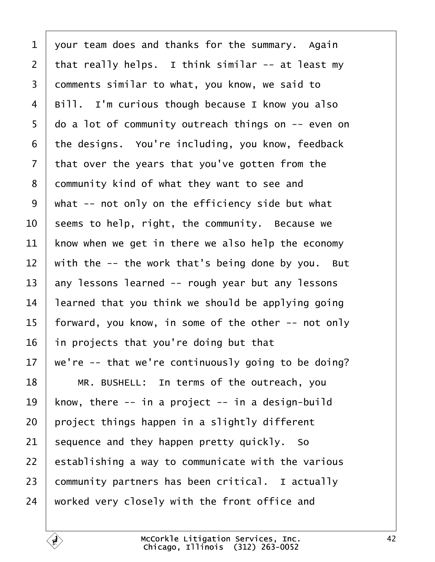<span id="page-41-0"></span>

| $\mathbf 1$    | your team does and thanks for the summary. Again    |
|----------------|-----------------------------------------------------|
| $\overline{2}$ | that really helps. I think similar -- at least my   |
| 3              | domments similar to what, you know, we said to      |
| 4              | Bill. I'm curious though because I know you also    |
| 5              | do a lot of community outreach things on -- even on |
| 6              | the designs. You're including, you know, feedback   |
| 7              | that over the years that you've gotten from the     |
| 8              | dommunity kind of what they want to see and         |
| 9              | what -- not only on the efficiency side but what    |
| 10             | seems to help, right, the community. Because we     |
| 11             | know when we get in there we also help the economy  |
| 12             | with the -- the work that's being done by you. But  |
| 13             | any lessons learned -- rough year but any lessons   |
| 14             | learned that you think we should be applying going  |
| 15             | forward, you know, in some of the other -- not only |
| 16             | in projects that you're doing but that              |
| 17             | we're -- that we're continuously going to be doing? |
| 18             | MR. BUSHELL: In terms of the outreach, you          |
| 19             | know, there -- in a project -- in a design-build    |
| 20             | project things happen in a slightly different       |
| 21             | sequence and they happen pretty quickly. So         |
| 22             | establishing a way to communicate with the various  |
| 23             | community partners has been critical. I actually    |
| 24             | worked very closely with the front office and       |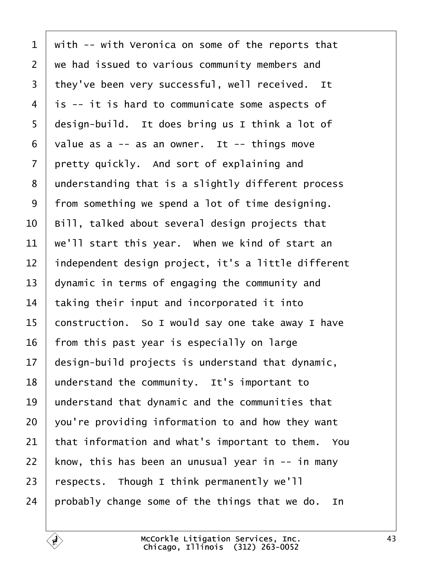<span id="page-42-0"></span>

| 1              | with -- with Veronica on some of the reports that   |
|----------------|-----------------------------------------------------|
| $\overline{2}$ | we had issued to various community members and      |
| 3              | they've been very successful, well received. It     |
| 4              | i\$ -- it is hard to communicate some aspects of    |
| 5              | design-build. It does bring us I think a lot of     |
| 6              | value as a -- as an owner. It -- things move        |
| 7              | pretty quickly. And sort of explaining and          |
| 8              | understanding that is a slightly different process  |
| 9              | from something we spend a lot of time designing.    |
| 10             | Bill, talked about several design projects that     |
| 11             | we'll start this year. When we kind of start an     |
| 12             | independent design project, it's a little different |
| 13             | dynamic in terms of engaging the community and      |
| 14             | taking their input and incorporated it into         |
| 15             | construction. So I would say one take away I have   |
| 16             | from this past year is especially on large          |
| 17             | design-build projects is understand that dynamic,   |
| 18             | understand the community. It's important to         |
| 19             | understand that dynamic and the communities that    |
| 20             | you're providing information to and how they want   |
| 21             | that information and what's important to them. You  |
| 22             | know, this has been an unusual year in -- in many   |
| 23             | respects. Though I think permanently we'll          |
| 24             | probably change some of the things that we do. In   |
|                |                                                     |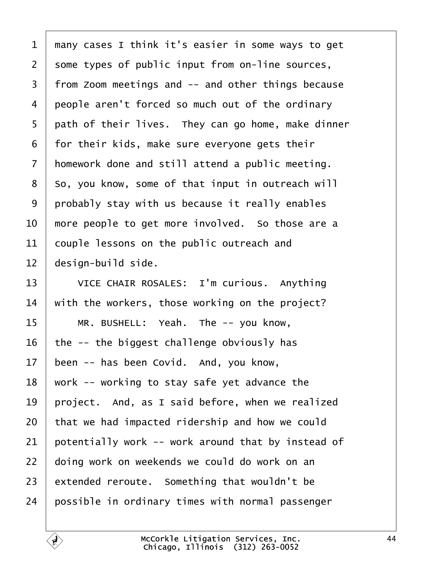<span id="page-43-0"></span>

|  |  | 1 many cases I think it's easier in some ways to get |  |
|--|--|------------------------------------------------------|--|
|--|--|------------------------------------------------------|--|

2 some types of public input from on-line sources,

- 3 from Zoom meetings and -- and other things because
- 4 people aren't forced so much out of the ordinary
- 5 path of their lives. They can go home, make dinner
- 6 for their kids, make sure everyone gets their
- 7 homework done and still attend a public meeting.
- 8 So, you know, some of that input in outreach will
- 9 probably stay with us because it really enables
- 10 more people to get more involved. So those are a
- 11 couple lessons on the public outreach and
- 12 design-build side.
- 13 | VICE CHAIR ROSALES: I'm curious. Anything
- 14 with the workers, those working on the project?
- 15 | MR. BUSHELL: Yeah. The -- you know,
- 16 the -- the biggest challenge obviously has
- 17 been -- has been Covid. And, you know,
- 18 work -- working to stay safe yet advance the
- 19 project. And, as I said before, when we realized
- 20 that we had impacted ridership and how we could
- 21 potentially work -- work around that by instead of
- 22 doing work on weekends we could do work on an
- 23  $\,$  extended reroute. Something that wouldn't be
- 24 possible in ordinary times with normal passenger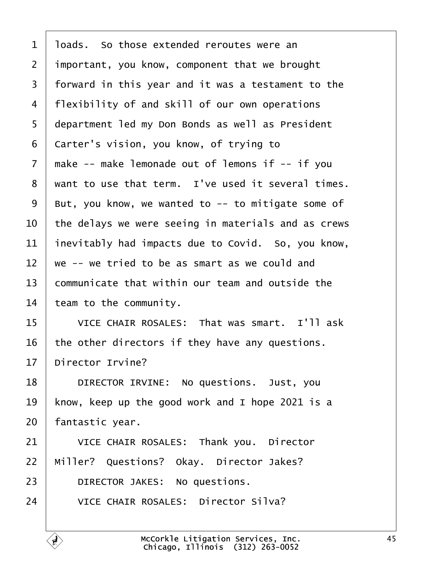- <span id="page-44-0"></span>1 loads. So those extended reroutes were an
- 2 important, you know, component that we brought
- 3 forward in this year and it was a testament to the
- 4 flexibility of and skill of our own operations
- 5 department led my Don Bonds as well as President
- 6 Carter's vision, you know, of trying to
- 7 make -- make lemonade out of lemons if -- if you
- 8 want to use that term. I've used it several times.
- 9 But, you know, we wanted to -- to mitigate some of
- 10 the delays we were seeing in materials and as crews
- 11 inevitably had impacts due to Covid. So, you know,
- 12 we -- we tried to be as smart as we could and
- 13 **communicate that within our team and outside the**
- 14 team to the community.
- 15 VICE CHAIR ROSALES: That was smart. I'll ask
- 16 the other directors if they have any questions.
- 17 Director Irvine?
- 18 | DIRECTOR IRVINE: No questions. Just, you
- 19 know, keep up the good work and I hope 2021 is a
- 20 fantastic year.
- 21 | VICE CHAIR ROSALES: Thank you. Director
- 22 Miller? Questions? Okay. Director Jakes?
- 23 | DIRECTOR JAKES: No questions.
- 24 | VICE CHAIR ROSALES: Director Silva?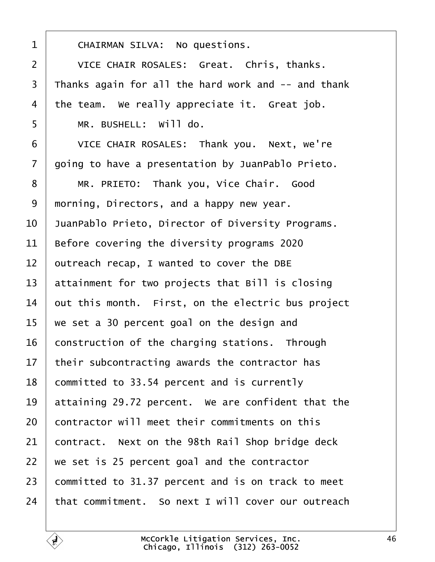<span id="page-45-0"></span>

| 1              | <b>CHAIRMAN SILVA: No questions.</b>                |
|----------------|-----------------------------------------------------|
| $\overline{2}$ | VICE CHAIR ROSALES: Great. Chris, thanks.           |
| 3              | Thanks again for all the hard work and -- and thank |
| $\overline{4}$ | the team. We really appreciate it. Great job.       |
| 5              | MR. BUSHELL: Will do.                               |
| 6              | VICE CHAIR ROSALES: Thank you. Next, we're          |
| $\overline{7}$ | going to have a presentation by JuanPablo Prieto.   |
| 8              | MR. PRIETO: Thank you, Vice Chair. Good             |
| 9              | morning, Directors, and a happy new year.           |
| 10             | JuanPablo Prieto, Director of Diversity Programs.   |
| 11             | Before covering the diversity programs 2020         |
| 12             | putreach recap, I wanted to cover the DBE           |
| 13             | attainment for two projects that Bill is closing    |
| 14             | out this month. First, on the electric bus project  |
| 15             | we set a 30 percent goal on the design and          |
| 16             | construction of the charging stations. Through      |
| 17             | their subcontracting awards the contractor has      |
| 18             | committed to 33.54 percent and is currently         |
| 19             | attaining 29.72 percent. We are confident that the  |
| 20             | contractor will meet their commitments on this      |
| 21             | contract. Next on the 98th Rail Shop bridge deck    |
| 22             | we set is 25 percent goal and the contractor        |
| 23             | committed to 31.37 percent and is on track to meet  |
| 24             | that commitment. So next I will cover our outreach  |
|                |                                                     |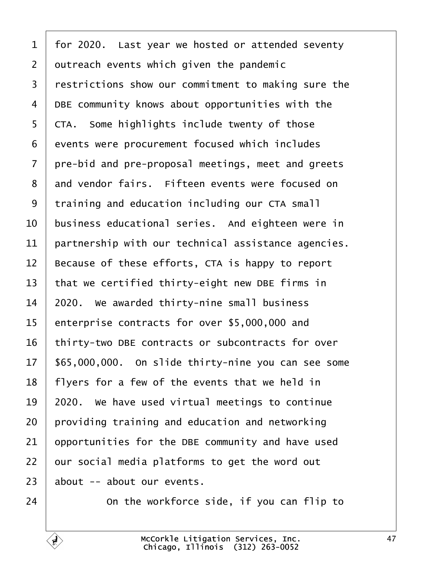<span id="page-46-0"></span>

| 1              | for 2020. Last year we hosted or attended seventy   |
|----------------|-----------------------------------------------------|
| $\overline{2}$ | dutreach events which given the pandemic            |
| 3              | restrictions show our commitment to making sure the |
| 4              | DBE community knows about opportunities with the    |
| 5              | <b>CTA.</b> Some highlights include twenty of those |
| 6              | events were procurement focused which includes      |
| 7              | pre-bid and pre-proposal meetings, meet and greets  |
| 8              | and vendor fairs. Fifteen events were focused on    |
| 9              | training and education including our CTA small      |
| 10             | business educational series. And eighteen were in   |
| 11             | partnership with our technical assistance agencies. |
| 12             | Because of these efforts, CTA is happy to report    |
| 13             | that we certified thirty-eight new DBE firms in     |
| 14             | 2020. We awarded thirty-nine small business         |
| 15             | enterprise contracts for over \$5,000,000 and       |
| 16             | thirty-two DBE contracts or subcontracts for over   |
| 17             | \$65,000,000. On slide thirty-nine you can see some |
| 18             | flyers for a few of the events that we held in      |
| 19             | 2020. We have used virtual meetings to continue     |
| 20             | providing training and education and networking     |
| 21             | opportunities for the DBE community and have used   |
| 22             | our social media platforms to get the word out      |
| 23             | about -- about our events.                          |
| 24             | On the workforce side, if you can flip to           |

 $\sqrt{ }$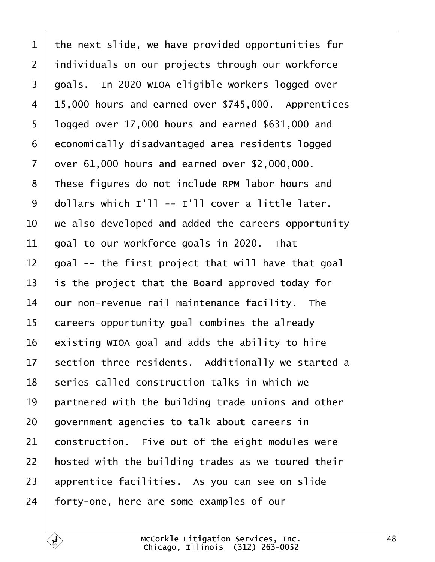- <span id="page-47-0"></span>1 the next slide, we have provided opportunities for
- 2 individuals on our projects through our workforce
- 3 goals. In 2020 WIOA eligible workers logged over
- 4 15,000 hours and earned over \$745,000. Apprentices
- 5 logged over 17,000 hours and earned \$631,000 and
- 6 economically disadvantaged area residents logged
- 7 dyer 61,000 hours and earned over \$2,000,000.
- 8 These figures do not include RPM labor hours and
- 9 dollars which I'll -- I'll cover a little later.
- 10 We also developed and added the careers opportunity
- 11  $\theta$  poal to our workforce goals in 2020. That
- 12 goal -- the first project that will have that goal
- 13 is the project that the Board approved today for
- 14 bur non-revenue rail maintenance facility. The
- 15 careers opportunity goal combines the already
- 16 existing WIOA goal and adds the ability to hire
- 17 section three residents. Additionally we started a
- 18 series called construction talks in which we
- 19 **partnered with the building trade unions and other**
- 20 government agencies to talk about careers in
- 21 **construction.** Five out of the eight modules were
- 22 hosted with the building trades as we toured their
- 23 apprentice facilities. As you can see on slide
- 24 forty-one, here are some examples of our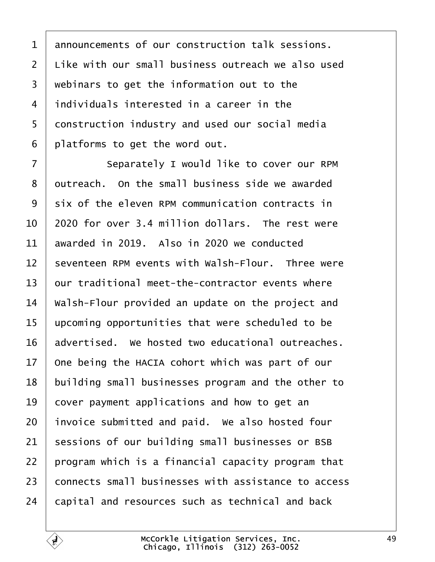<span id="page-48-0"></span>

| 1              | announcements of our construction talk sessions.    |  |  |
|----------------|-----------------------------------------------------|--|--|
| $\overline{2}$ | Like with our small business outreach we also used  |  |  |
| 3              | webinars to get the information out to the          |  |  |
| 4              | individuals interested in a career in the           |  |  |
| 5              | donstruction industry and used our social media     |  |  |
| 6              | platforms to get the word out.                      |  |  |
| $\overline{7}$ | Separately I would like to cover our RPM            |  |  |
| 8              | dutreach. On the small business side we awarded     |  |  |
| 9              | six of the eleven RPM communication contracts in    |  |  |
| 10             | 2020 for over 3.4 million dollars. The rest were    |  |  |
| 11             | awarded in 2019. Also in 2020 we conducted          |  |  |
| 12             | seventeen RPM events with Walsh-Flour. Three were   |  |  |
| 13             | our traditional meet-the-contractor events where    |  |  |
| 14             | Walsh-Flour provided an update on the project and   |  |  |
| 15             | upcoming opportunities that were scheduled to be    |  |  |
| 16             | advertised. We hosted two educational outreaches.   |  |  |
| 17             | One being the HACIA cohort which was part of our    |  |  |
| 18             | building small businesses program and the other to  |  |  |
| 19             | cover payment applications and how to get an        |  |  |
| 20             | invoice submitted and paid. We also hosted four     |  |  |
| 21             | sessions of our building small businesses or BSB    |  |  |
| 22             | program which is a financial capacity program that  |  |  |
| 23             | connects small businesses with assistance to access |  |  |
| 24             | capital and resources such as technical and back    |  |  |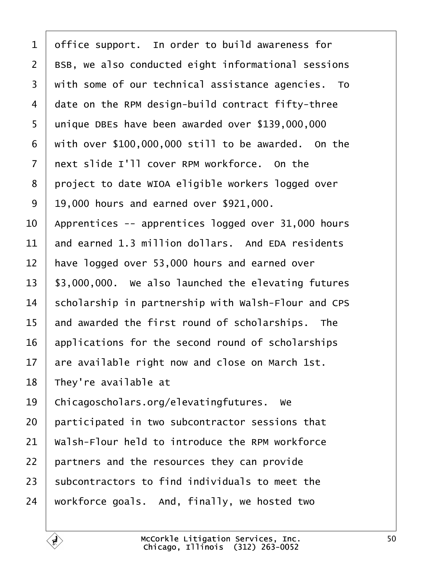- <span id="page-49-0"></span>1 diffice support. In order to build awareness for
- 2 BSB, we also conducted eight informational sessions
- 3 with some of our technical assistance agencies. To
- 4 date on the RPM design-build contract fifty-three
- 5 unique DBEs have been awarded over \$139,000,000
- $6$  with over \$100,000,000 still to be awarded. On the
- 7 riext slide I'll cover RPM workforce. On the
- 8 project to date WIOA eligible workers logged over
- ·9· ·19,000 hours and earned over \$921,000.
- 10 Apprentices -- apprentices logged over 31,000 hours
- 11 and earned 1.3 million dollars. And EDA residents
- 12 have logged over 53,000 hours and earned over
- 13 \$3,000,000. We also launched the elevating futures
- 14 scholarship in partnership with Walsh-Flour and CPS
- 15 and awarded the first round of scholarships. The
- 16 applications for the second round of scholarships
- 17 are available right now and close on March 1st.
- 18 They're available at
- 19 Chicagoscholars.org/elevatingfutures. We
- 20 participated in two subcontractor sessions that
- 21 Walsh-Flour held to introduce the RPM workforce
- 22 partners and the resources they can provide
- 23 subcontractors to find individuals to meet the
- 24 workforce goals. And, finally, we hosted two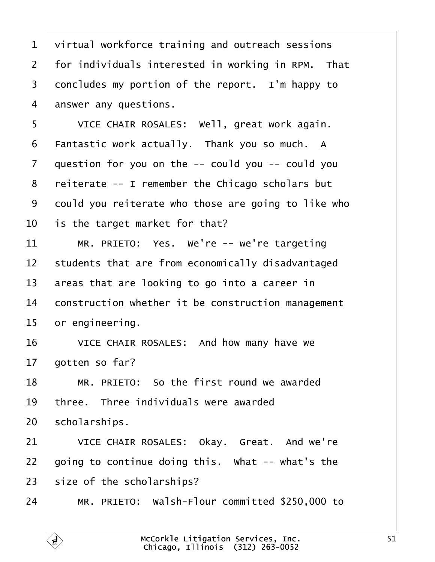<span id="page-50-0"></span>

| 1              | virtual workforce training and outreach sessions    |
|----------------|-----------------------------------------------------|
| $\overline{2}$ | for individuals interested in working in RPM. That  |
| 3              | doncludes my portion of the report. I'm happy to    |
| 4              | answer any questions.                               |
| 5              | VICE CHAIR ROSALES: Well, great work again.         |
| 6              | Fantastic work actually. Thank you so much. A       |
| $\overline{7}$ | question for you on the -- could you -- could you   |
| 8              | reiterate -- I remember the Chicago scholars but    |
| 9              | dould you reiterate who those are going to like who |
| 10             | is the target market for that?                      |
| 11             | MR. PRIETO: Yes. We're -- we're targeting           |
| 12             | students that are from economically disadvantaged   |
| 13             | areas that are looking to go into a career in       |
| 14             | construction whether it be construction management  |
| 15             | or engineering.                                     |
| 16             | VICE CHAIR ROSALES: And how many have we            |
| 17             | gotten so far?                                      |
| 18             | MR. PRIETO: So the first round we awarded           |
| 19             | three. Three individuals were awarded               |
| 20             | scholarships.                                       |
| 21             | VICE CHAIR ROSALES: Okay. Great. And we're          |
| 22             | going to continue doing this. What -- what's the    |
| 23             | size of the scholarships?                           |
| 24             | MR. PRIETO: Walsh-Flour committed \$250,000 to      |
|                |                                                     |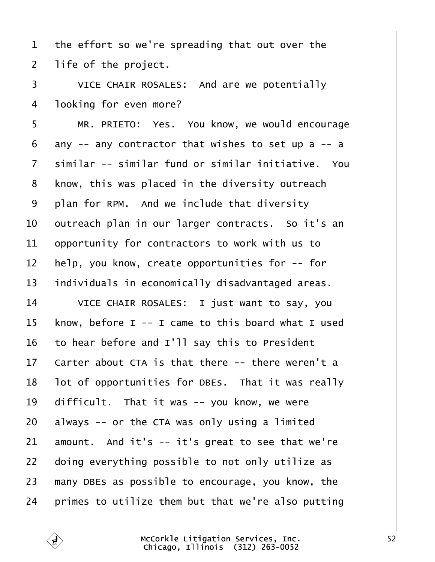- <span id="page-51-0"></span>1 the effort so we're spreading that out over the
- 2 life of the project.
- 3 | VICE CHAIR ROSALES: And are we potentially
- 4 **boking for even more?**
- 5 | MR. PRIETO: Yes. You know, we would encourage
- 6  $\pi$  dny -- any contractor that wishes to set up a -- a
- 7 similar -- similar fund or similar initiative. You
- 8 know, this was placed in the diversity outreach
- 9 plan for RPM. And we include that diversity
- 10 butreach plan in our larger contracts. So it's an
- 11 **opportunity for contractors to work with us to**
- 12 help, you know, create opportunities for -- for
- 13 individuals in economically disadvantaged areas.
- 14 | VICE CHAIR ROSALES: I just want to say, you
- 15 know, before I -- I came to this board what I used
- 16 to hear before and I'll say this to President
- 17 Carter about CTA is that there -- there weren't a
- 18 lot of opportunities for DBEs. That it was really
- 19 difficult. That it was -- you know, we were
- 20  $\alpha$  always -- or the CTA was only using a limited
- 21  $\mu$  amount. And it's -- it's great to see that we're
- 22 doing everything possible to not only utilize as
- 23 many DBEs as possible to encourage, you know, the
- 24 brimes to utilize them but that we're also putting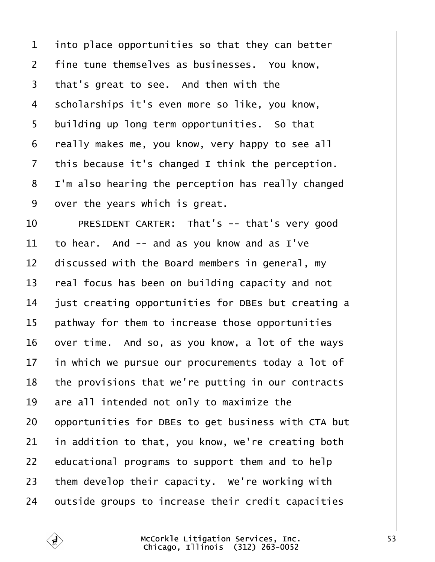<span id="page-52-0"></span>

| $\mathbf 1$    | into place opportunities so that they can better    |
|----------------|-----------------------------------------------------|
| $\overline{2}$ | fine tune themselves as businesses. You know,       |
| 3              | that's great to see. And then with the              |
| 4              | scholarships it's even more so like, you know,      |
| 5              | building up long term opportunities. So that        |
| 6              | really makes me, you know, very happy to see all    |
| $\overline{7}$ | this because it's changed I think the perception.   |
| 8              | I'm also hearing the perception has really changed  |
| 9              | over the years which is great.                      |
| 10             | PRESIDENT CARTER: That's -- that's very good        |
| 11             | to hear. And -- and as you know and as I've         |
| 12             | discussed with the Board members in general, my     |
| 13             | real focus has been on building capacity and not    |
| 14             | just creating opportunities for DBEs but creating a |
| 15             | pathway for them to increase those opportunities    |
| 16             | over time. And so, as you know, a lot of the ways   |
| 17             | in which we pursue our procurements today a lot of  |
| 18             | the provisions that we're putting in our contracts  |
| 19             | are all intended not only to maximize the           |
| 20             | opportunities for DBEs to get business with CTA but |
| 21             | in addition to that, you know, we're creating both  |
| 22             | educational programs to support them and to help    |
| 23             | them develop their capacity. We're working with     |
| 24             | putside groups to increase their credit capacities  |
|                |                                                     |

 $\sqrt{ }$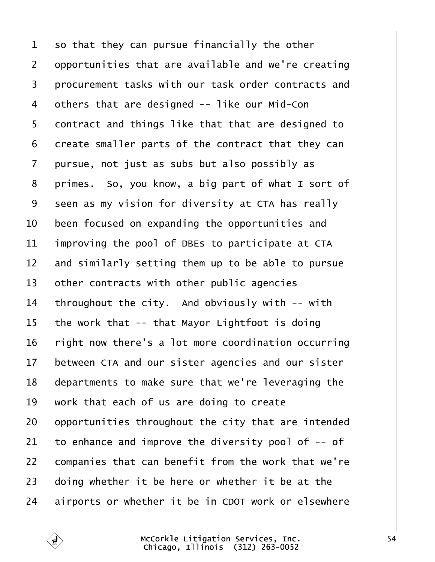<span id="page-53-0"></span>

| 1               | so that they can pursue financially the other       |
|-----------------|-----------------------------------------------------|
| $\overline{2}$  | opportunities that are available and we're creating |
| 3               | procurement tasks with our task order contracts and |
| 4               | others that are designed -- like our Mid-Con        |
| 5               | dontract and things like that that are designed to  |
| 6               | dreate smaller parts of the contract that they can  |
| 7               | pursue, not just as subs but also possibly as       |
| 8               | primes. So, you know, a big part of what I sort of  |
| 9               | seen as my vision for diversity at CTA has really   |
| 10              | been focused on expanding the opportunities and     |
| 11              | Improving the pool of DBEs to participate at CTA    |
| 12              | and similarly setting them up to be able to pursue  |
| 13              | other contracts with other public agencies          |
| 14              | throughout the city. And obviously with -- with     |
| 15              | the work that -- that Mayor Lightfoot is doing      |
| 16              | right now there's a lot more coordination occurring |
| 17 <sup>1</sup> | between CTA and our sister agencies and our sister  |
| 18              | departments to make sure that we're leveraging the  |
| 19              | work that each of us are doing to create            |
| 20              | opportunities throughout the city that are intended |
| 21              | to enhance and improve the diversity pool of -- of  |
| 22              | companies that can benefit from the work that we're |
| 23              | doing whether it be here or whether it be at the    |
| 24              | airports or whether it be in CDOT work or elsewhere |
|                 |                                                     |

Г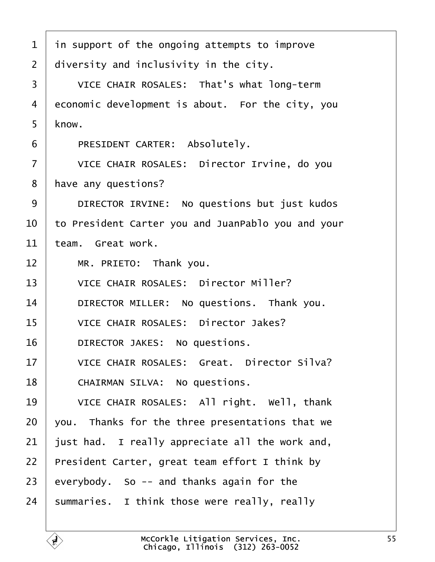<span id="page-54-0"></span>

| 1              | in support of the ongoing attempts to improve      |  |  |
|----------------|----------------------------------------------------|--|--|
| 2              | diversity and inclusivity in the city.             |  |  |
| 3              | VICE CHAIR ROSALES: That's what long-term          |  |  |
| $\overline{4}$ | economic development is about. For the city, you   |  |  |
| 5              | know.                                              |  |  |
| 6              | PRESIDENT CARTER: Absolutely.                      |  |  |
| 7              | VICE CHAIR ROSALES: Director Irvine, do you        |  |  |
| 8              | have any questions?                                |  |  |
| 9              | DIRECTOR IRVINE: No questions but just kudos       |  |  |
| 10             | to President Carter you and JuanPablo you and your |  |  |
| 11             | team. Great work.                                  |  |  |
| 12             | MR. PRIETO: Thank you.                             |  |  |
| 13             | <b>VICE CHAIR ROSALES: Director Miller?</b>        |  |  |
| 14             | DIRECTOR MILLER: No questions. Thank you.          |  |  |
| 15             | <b>VICE CHAIR ROSALES: Director Jakes?</b>         |  |  |
| 16             | DIRECTOR JAKES: No questions.                      |  |  |
| 17             | <b>VICE CHAIR ROSALES: Great. Director Silva?</b>  |  |  |
| 18             | <b>CHAIRMAN SILVA: No questions.</b>               |  |  |
| 19             | VICE CHAIR ROSALES: All right. Well, thank         |  |  |
| 20             | you. Thanks for the three presentations that we    |  |  |
| 21             | just had. I really appreciate all the work and,    |  |  |
| 22             | President Carter, great team effort I think by     |  |  |
| 23             | everybody. So -- and thanks again for the          |  |  |
| 24             | summaries. I think those were really, really       |  |  |
|                |                                                    |  |  |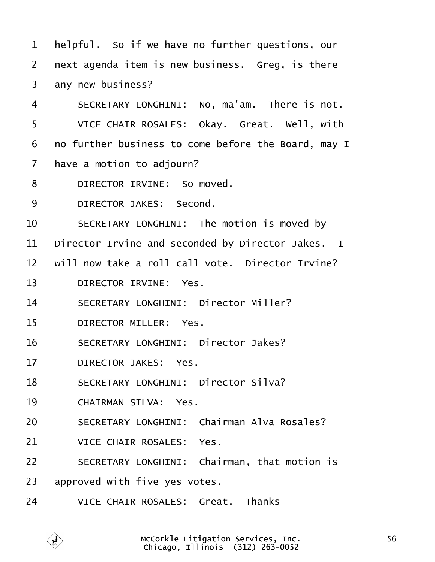<span id="page-55-0"></span>1 helpful. So if we have no further questions, our 2 next agenda item is new business. Greg, is there 3 any new business? 4 | SECRETARY LONGHINI: No, ma'am. There is not. 5 | VICE CHAIR ROSALES: Okay. Great. Well, with 6 ro further business to come before the Board, may I 7 have a motion to adjourn? 8 | DIRECTOR IRVINE: So moved. 9 | DIRECTOR JAKES: Second. 10 | SECRETARY LONGHINI: The motion is moved by 11 Director Irvine and seconded by Director Jakes. I 12 will now take a roll call vote. Director Irvine? 13 | DIRECTOR IRVINE: Yes. 14 | SECRETARY LONGHINI: Director Miller? 15 | DIRECTOR MILLER: Yes. 16 | SECRETARY LONGHINI: Director Jakes? 17 | DIRECTOR JAKES: Yes. 18 | SECRETARY LONGHINI: Director Silva? 19 | CHAIRMAN SILVA: Yes. 20 | SECRETARY LONGHINI: Chairman Alva Rosales? 21 | VICE CHAIR ROSALES: Yes. 22 | SECRETARY LONGHINI: Chairman, that motion is 23 approved with five yes votes. 24 VICE CHAIR ROSALES: Great. Thanks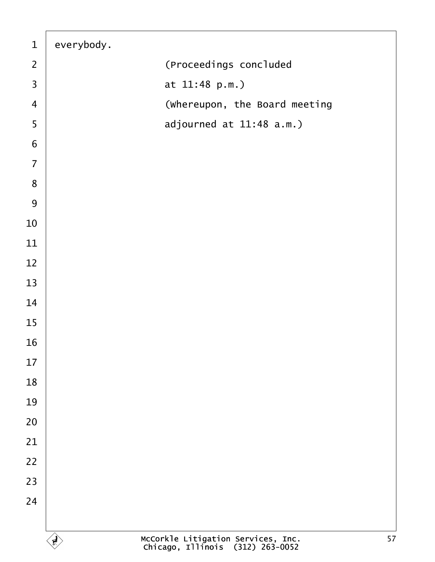| $\mathbf{1}$             | everybody. |                               |
|--------------------------|------------|-------------------------------|
| $\overline{2}$           |            | (Proceedings concluded        |
| $\mathfrak{S}$           |            | at 11:48 p.m.)                |
| $\overline{\mathcal{A}}$ |            | (Whereupon, the Board meeting |
| $\sqrt{5}$               |            | adjourned at 11:48 a.m.)      |
| $\,6\,$                  |            |                               |
| $\overline{7}$           |            |                               |
| $\bf 8$                  |            |                               |
| $\boldsymbol{9}$         |            |                               |
| $10$                     |            |                               |
| $11$                     |            |                               |
| 12                       |            |                               |
| 13                       |            |                               |
| 14                       |            |                               |
| 15                       |            |                               |
| 16                       |            |                               |
| $17$                     |            |                               |
| 18                       |            |                               |
| 19                       |            |                               |
| 20                       |            |                               |
| 21                       |            |                               |
| 22                       |            |                               |
| 23                       |            |                               |
| 24                       |            |                               |
|                          |            |                               |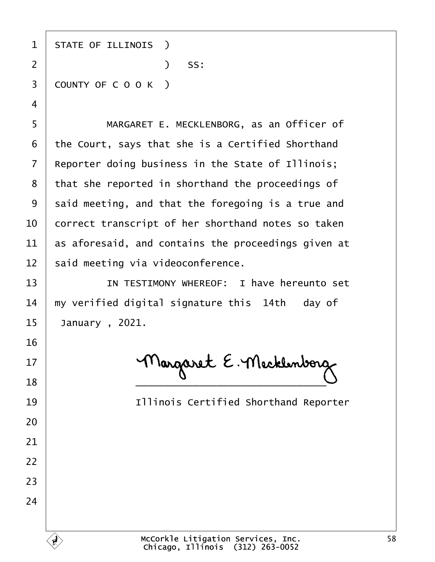| 1  | <b>STATE OF ILLINOIS</b> )                          |
|----|-----------------------------------------------------|
| 2  | SS:<br>$\mathcal{L}$                                |
| 3  | COUNTY OF COOK)                                     |
| 4  |                                                     |
| 5  | MARGARET E. MECKLENBORG, as an Officer of           |
| 6  | the Court, says that she is a Certified Shorthand   |
| 7  | Reporter doing business in the State of Illinois;   |
| 8  | that she reported in shorthand the proceedings of   |
| 9  | said meeting, and that the foregoing is a true and  |
| 10 | correct transcript of her shorthand notes so taken  |
| 11 | as aforesaid, and contains the proceedings given at |
| 12 | said meeting via videoconference.                   |
| 13 | IN TESTIMONY WHEREOF: I have hereunto set           |
| 14 | my verified digital signature this 14th day of      |
| 15 | January, 2021.                                      |
| 16 |                                                     |
| 17 |                                                     |
| 18 |                                                     |
| 19 | <b>Illinois Certified Shorthand Reporter</b>        |
| 20 |                                                     |
| 21 |                                                     |
| 22 |                                                     |
| 23 |                                                     |
| 24 |                                                     |
|    |                                                     |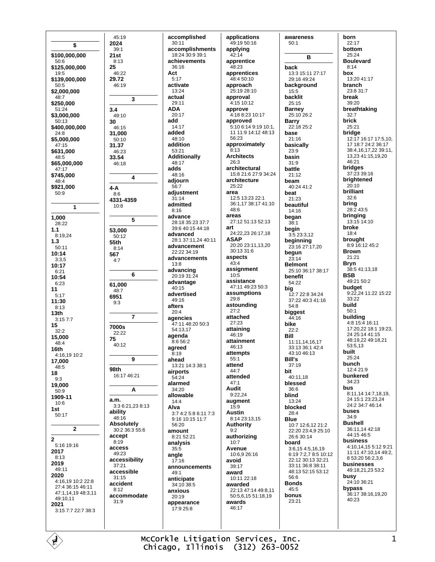\$ \$100,000,000  $50:6$ \$125,000,000  $19.5$ \$139,000,000  $50:5$ \$2,000,000  $48:7$ \$250.000  $51.24$ \$3,000,000  $50:13$ \$400,000,000  $24:8$ \$5,000,000  $47.15$ \$631,000 48:5 \$65,000,000  $47:17$ \$745,000 48:4 \$921,000  $50:9$  $\blacktriangleleft$ 1,000 28:22  $1.1$ 8:19.24  $1.3$  $50:11$  $10:14$  $3.35$ 10:17  $6:21$ 10:54  $6.23$ 11  $5.17$ 11:30  $8:13$  $13<sub>th</sub>$  $3.157.7$ 15  $32:2$ 15,000  $48:4$ 16th 4:16,19 10:2 17.000  $48:5$ 18  $9:3$ 19.000  $50:9$ 1909-11 10:6  $1st$  $50:17$  $\overline{2}$  $\bf{2}$  $5.1619.16$ 2017  $8:13$ 2019  $49.11$ 2020 4:16,19 10:2 22:8 27:4 36:15 46:11 47:1,14,19 48:3,11 49:10,11 2021 3:15 7:7 22:7 38:3

accomplished  $30:11$ accomplishments  $18.24.30.9.39.1$ achievements  $36.16$ Act  $5:17$ activate  $13.24$ actual 29:11 **ADA** 20:17 add 14:17 added 48:10 addition 53:21 **Additionally** 48:17 adds 48:16 adjourn  $56.7$ adjustment  $31:14$ admitted  $8.16$ advance 28:18 35:23 37:7 39:6 40:15 44:18 advanced 28:1 37:11,24 40:11 advancement  $22.2234.19$ advancements  $13:8$ advancing  $20.1931.24$ advantage 40:15 advertised  $49.16$ afters  $20.4$ agencies 47:11 48:20 50:3 54:13.17 agenda 8:6 56:2 agreed  $8:19$ ahead 13:21 14:3 38:1 airports 16:17 46:21  $54.24$ alarmed 34:20 allowable  $14:4$ 3:3 6:21,23 8:13 Alva  $3.74.2586.117.3$ 9:16 10:15 11:7 56:20 30:2 36:3 55:6 amount 8:21 52:21 analysis  $35:5$ angle accessibility  $17:16$ announcements  $49:1$ anticipate 34:10 38:5 anxious accommodate 20:19 appearance  $17.925.8$ 

 $45.19$ 

2024

 $21st$ 

25

 $3.4$ 

30

 $39.1$ 

 $8.13$ 

 $46.22$ 

 $46.19$ 

49:10

46:15

31,000

 $50:10$ 

46:23

46:18

31.37

33.54

 $4 - A$ 

 $8:6$ 

 $10:8$ 

53,000

55th

567

 $4.7$ 

61,000

48:7

6951

 $9:3$ 

7000s

75

**98th** 

 $a.m.$ 

ability

48:16

accept

 $8:19$ 

access

49:23

37:21

 $31:15$ 

 $8:12$ 

 $31:9$ 

accident

accessible

**Absolutely** 

22:22

40:12

 $8.14$ 

50:12

4331-4359

 $\overline{\mathbf{3}}$ 

4

5

6

 $\overline{7}$ 

9

A

29.72

applications 49:19 50:16 applying  $42.14$ apprentice  $48.23$ apprentices 48:4 50:10 approach  $25.1928.10$ approval 4:15 10:12 approve 4:18 8:23 10:17 approved 5:10 6:14 9:19 10:1, 11 11:9 14:12 48:13 56:23 approximately  $8:13$ **Architects**  $26.3$ architectural 15:8 21:6 27:9 34:24 architecture  $25.22$ area 12:5 13:23 22:1 36:1,17 38:17 41:10  $48.6$ areas 27:12 51:13 52:13 art 24.22.23.26:17.18 **ASAP** 20:20 23:11,13,20 30:13 31:6 aspects  $43:4$ assignment  $10:5$ assistance 47:11 49:23 50:3 assumptions  $29.8$ astounding  $27:2$ attached  $27.23$ attaining 46:19 attainment  $46.13$ attempts  $55:1$ attend 44:7 attended  $47:1$ Audit  $9.2224$ augment  $15.9$ **Austin** 8:14 23:13 15 **Authority**  $9:2$ authorizing  $10:7$ Avenue 10:6,9 26:16 avoid 39:17 award 10:11 22:18 awarded 22:13 47:14 49:8 11 50:5,6,15 51:18,19 awards 46:17

 $50:1$ back  $15:5$ backlit 25:15 **Barney Barry** base  $21:16$  $23.9$ basin  $31:9$ battle  $21.12$ beam beat 21:23  $14.16$ began  $38:1$ beain begun  $23:14$ benefit 54:22 big 54:8 biggest 44:16 bike  $22:2$ **Bill** Bill's  $37.19$ bit blessed  $36.6$ blind 13:24  $28.4$ Rlue board  $56.6$ **Bonds** 45:5 bonus  $23.21$ 

awareness **B** 13:3 15:11 27:17 29:16 49:24 background 25:10.26:2 22:18 25:2 basically 40:24 41:2 beautiful  $3:523:3,12$ beginning 23:16 27:17.20 **Belmont** 25:10 36:17 38:17 12:7 22:8 34:24 37:22 40:3 41:16 11:11.14.16.17 33:13 36:1 42:4  $43.1046.13$ 40:11.18 blocked 10:7 12:6,12 21:2 22:20 23:4,9 25:10 26:6 30:14  $3:6.154:5.16.19$ 6:19 7:2 7 8:5 10:12 22:12 30:13 32:21 33:11 36:8 38:11 48:13 52:15 53:12

born  $22:17$ bottom  $25.24$ **Boulevard**  $R \cdot 14$ box 13:20 41:17 branch  $23.8.31.7$ break 39:20 breathtaking  $32:7$ brick  $25:21$ bridge 12:17 16:17 17:5,10, 17 18:7 24:2 36:17 38:4,16,17,22 39:11, 13,23 41:15,19,20 46:21 bridges 37:23 39:16 brightened  $20:10$ brilliant  $32:6$ bring 28:2 43:5 bringing 13:15 14:10 broke  $18.4$ brought 8:9 16:12 45:2 **Brown**  $21.21$ Bryn 38:541:13.18 **BSB** 49:21 50:2 budget 9:22,24 11:22 15:22  $33.22$ build  $50:1$ building 4:8 15:4 16:11 17:20,22 18:1 19:23,  $24.25 \cdot 14.41 \cdot 15$ 48:19 22 49:18 21  $53:513$ built 25:24 bunch  $12.421.9$ bunkered 34:23 bus 8:11,14 14:7,18,19, 24 15:1 23:23,24 24:2 34:7 46:14 **buses**  $34.9$ **Bushell** 36:11,14 42:18 44:15 46:5 business 4:10.14.15 5:12 9:21 11:11 47:10,14 49:2, 8 53:20 56:2.3.6 businesses 49:18.21.23 53:2 **busy**<br> $24:10,36:21$ bypass 36:17 38:16,19,20 40:23

McCorkle Litigation Services, Inc. Chicago, Illinois (312) 263-0052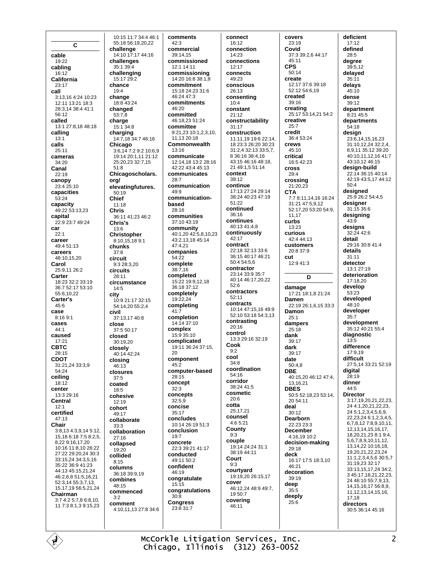$\mathbf c$ cable 19:22 cabling  $16.12$ California  $23.17$ call 3:13,16 4:24 10:23 12:11 13:21 18:3 28:3 14 38:4 41:1 56:12 called 13:1 27:8.18 48:18 calling  $13:1$ calls  $25:11$ cameras 34:20 Canal  $22.19$ canopy 23:4 25:10 capacities  $53:24$ capacity 49:22 53:13.23 capital 22.9.23.7.49.24 car  $22:1$ career  $49.451.13$ careers 48:10.15.20 Carol 25:9,11 26:2 Carter  $18:23$  32:2 33:19 36:7 52:17 53:10 55:6.10.22 Carter's  $45:6$ case  $8.1691$ cases  $44:1$ caused 17:21 **CBTC**  $28.15$ **CDOT** 31:21,24 33:3,9 54:24 ceilina  $18.12$ center 13:3 29:16 Central  $12:1$ certified  $47:13$ Chair 3:8,13 4:3,9,14 5:12, 15,18 6:18 7:5 8:2,5, 8,22 9:16,17,20 10:16 11:8,10 26:22 27:22 29:20.24 30:3 33:15 24 34:3 5 16 35:22 36:9 41:23 44:13 45:15 21 24 46:2 6 8 51:5 16 21 52:3 14 55:3 7 13 15, 17, 19 56: 5, 21, 24 Chairman 3:7 4:2 5:7,8 6:8,10, 11 7:3 8:1,3 9:15,23

10:15 11:7 34:4 46:1 55:18 56:19,20,22 challenge  $14.10$   $17.17$   $44.16$ challenges  $35.139.4$ challenging 15:17 29:2 chance  $19.4$ change 18:8 43:24 changed 53:7.8 charge 15:1 34:8 charging 14:7,18 34:7 46:16 Chicago 3:6,14 7:2 9:2 10:6.9  $19:1420:1.1121:12$ 25:20.23 32:7.15  $51.8$ Chicagoscholars. org/ elevatingfutures. 50:19 Chief 11:18 **Chris** 36:11 41:23 46:2 Chris's  $13.6$ **Christopher** 8:10.15.18 9:1 chunks  $37.8$ circuit 9:3 28:3,20 circuits  $28.11$ circumstance  $14:5$ city 10:9 21:17 32:15 54:14.20 55:2.4 civil 37:13.17 40:8 close 37:5 50:17 closed  $30.1920$ closely 40:14 42:24 closing  $46.13$ closures 37:5 coated  $18:5$ cohesive  $12:19$ cohort 49:17 collaborate  $33:3$ collaboration  $27:16$ collapsed 19:20 collided  $8.15$ columns 36:18 39:9,19 combines 48:15 commenced  $3.2$ comment 4:10,11,13 27:8 34:6

comments commercial  $39.14$  15 commissioned 12:1 14:11 commissioning 14:20 16:8 38:1,8 commitment 15:18 24:23 31:6  $46.24$   $47.3$ commitments committed 46:18.23 51:24 committee 9:21,23 10:1,2,3,10, 11.13 20:18 Commonwealth communicate 12:14.18 13:2 28:16  $42.22$   $43.4$   $45.13$ communicates communication communicationbased communities 37:10 43:19 community 40:1,20 42:5,8,10,23 43:2.13.18 45:14 47:4,21 companies complete 38:7.16 completed 15:22 19:9,12,18 36:18 37:12 completely 19:22,24 completing completion 14:14 37:10 complex 15:9 35:10 complicated 19:11 36:24 37:15, component computer-based concept concepts  $32:5.9$ concise concludes  $10.1426.19513$ conclusion concrete 22:3 39:21 41:17 conducted 49:11 50:2 confident congratulate  $15:15$ congratulations **Congress** 23:8 31:7

 $42:3$ 

 $46.20$ 

13:16

 $28:7$ 

 $49.9$ 

 $28.16$ 

 $54.22$ 

 $41.7$ 

 $20$ 

 $45:2$ 

28:15

 $32:3$ 

 $35:17$ 

 $19:7$ 

46:19

 $30:\bar{8}$ 

connect 16:12 connection  $14.23$ connections  $12.17$ connects 49:23 conscious  $26.13$ consenting  $10:4$ constant  $21:12$ constructability  $31:17$ construction 11:11,19 19:6 22:14. 18 23:3 26:20 30:23 31:2,4 32:13 33:5,7, 8 36:16 38:4,16 43:15 46:16 48:18. 21 49 1 5 51 14 context  $30.12$ continue 17:13 27:24 29:14 38:24 40:23 47:19  $51.22$ continued  $36.16$ continues 40:13 41:4,8 continuously  $42.17$ contract 22:18 32:13 33:6 36:15 40:17 46:21 50:4 54:5.6 contractor 23:14 33:9 35:7 40:14 46:17.20.22  $52.6$ contractors  $52:11$ contracts 10:14 47:15,16 49:9 52:10 53:18 54:3.13 contrasting  $20.16$ control 13:3 29:16 32:19 Cook  $9.2$ cool  $34:8$ coordination 54:16 corridor 38:24 41.5 cosmetic  $20:6$ cotta 25:17,21 counsel 4:6 5:21 County  $9:3$ couple 19:14 24:24 31:1 38:19 44:11 Court  $9:3$ courtyard 19:19.20 26:15.17 cover 46:12.24 48:9 49:7. 19 50:7 covering  $46.11$ 

covers  $23:19$ Covid 37:3.39:2.6.44:17 45:11 **CPS**  $50.14$ create 12:17 37:6 39:18 52:12 54:6,19 created 39:16 creating 25:17 53:14,21 54:2 creative  $25:7$ cradit 36:4 53:24 crews 45:10 critical  $16:542:23$ cross  $29:4$ crossing  $21.20.23$ **CTA** 7:7 8:11,14,16 16:24 31:21 47:5.9.12 52:17,20 53:20 54:9, 11.17 curbs  $13:23$ **CULLIONS**  $42.444.13$ customers 20:8 37:9 cut 12:9 41:3 D damage 17:21 18:1.8 21:24 Damen 22:19 26:1,6,15 33:3 Damon  $25.1$ dampers  $25:18$ dank 39:17 dark  $39.17$ date  $50.48$ **DBE** 40:15.20 46:12 47:4. 13.16.21 **DBES** 50:5 52:18,23 53:14, 20 54:11 deal  $30.12$ Dearborn  $22.23.23.3$ **December** 4:16,19 10:2 decision-making  $29.18$ deck 16:17 17:5 18:3,10  $46.21$ decoration 39:19 deep  $35.5$ deeply  $25.6$ 

deficient  $17:12$ defined  $28:5$ degree  $39:5.12$ delayed  $35:11$ delavs  $45.10$ dense 39:12 department 8:21 45:5 departments  $54:18$ desian  $23:\overline{6}, 14, 15, 16, 23$ 31:10,12,24 32:2,4, 8,9,11 35:12 39:20 40:10,11,12,16 41:7 43:10.12 46:15 desian-build 22:14 36:15 40:14 42:19 43:5.17 44:12  $50.4$ designed 25:9 26:2 54:4,5 desianer  $31.15356$ designing  $43.9$ designs 32:24 42:6 detail 29:16 30:8 41:4 details  $31:11$ detector  $13.127.19$ deterioration 17:18,20 develop  $53.23$ developed 48:10 developer  $35:7$ development 35:12 40:21 55:4 diagnostic  $13:5$ difference 17:9.19 difficult 27:5,14 33:21 52:19 digital 28:19 dinner  $44:5$ **Director** 3:17,19,20,21,22,23, 24 4:1,20,21,22,23, 24 5:1,2,3,4,5,6,9, 22, 23, 24 6: 1, 2, 3, 4, 5, 6,7,8,12 7:8,9,10,11, 12, 13, 14, 15, 16, 17, 18,20,21,23 8:1 9:4, 5, 6, 7, 8, 9, 10, 11, 12, 13, 14, 22 10: 16, 18, 19.20.21.22.23.24 11:1.2.3.4.5.6 30:5.7  $31.192332.17$ 33:13.15.17.24 34:2. 3 45:17,18,21,22,23, 24 46:10 55:7 9 13 14.15.16.17 56:8.9. 11, 12, 13, 14, 15, 16, 17,18 directors 30:5 36:14 45:16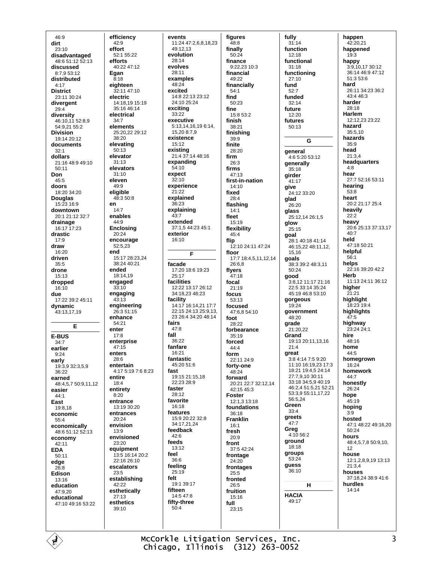$46:9$ dirt  $23.10$ disadvantaged 48.6.51.12.52.13 discussed 8:7,9 53:12 distributed  $4.17$ **District** 23:11 30:24 divergent  $29:4$ diversity 46:10,11 52:8,9 54:9,21 55:2 **Division** 19:14 20:12 documents  $32:1$ dollars 21:16 48:9 49:10  $50:11$ Don  $45:5$ doors 18:20 34:20 **Douglas** 15:23 16:9 downtown 20:1 21:12 32:7 drainage 16:17 17:23 drastic  $17:9$ draw  $16:20$ driven  $35:5$ drone  $15:13$ dropped 16:10 due 17:22 39:2 45:11 dynamic 43:13,17,19 Е **E-BUS**  $34:7$ earlier  $9.24$ early 19:3,9 32:3,5,9 36:22 earned 48:4,5,7 50:9,11,12 easier  $44:1$ Fast 19:8.18 economic  $55:4$ economically 48:6 51:12 52:13 economy  $42.11$ **EDA**  $50:11$ edge  $26.8$ Edison 13:16 education  $47.920$ educational 47:10 49:16 53:22

efficiency  $42:9$ effort 52:1 55:22 efforts  $40.2247.12$ Egan  $8:18$ eighteen  $32:1147:10$ electric 14:18,19 15:19 35:16 46:14 electrical  $34.7$ elements 25:20.22 29:12  $38.20$ elevating 50:13 elevator  $31.13$ elevators  $31:10$ eleven  $49.9$ eligible 48:3 50:8 en  $14.7$ enables  $44.9$ **Enclosing** 20:24 encourage 52:5,23 end 15:17 28:23 24 38:24 40:21 ended  $18.1419$ engaged  $33:10$ engaging  $4\bar{3}:1\bar{3}$ engineering 26:3 51:15 enhance  $54.21$ enter  $17:8$ enterprise  $47.15$ enters 28:6 entertain 4:17 5:19 7:6 8:23 entire  $18.4$ entirety  $8:20$ entrance 13:19 30:20 **Antrances**  $20.24$ envision  $13:9$ envisioned  $23.20$ equipment 13:5 16:14 20:2 22:16 26:10 escalators  $23:5$ establishing 42:22 esthetically 27:13 esthetics  $39.10$ 

events 11:24 47:2,6,8,18,23 49:12.13 evolution 28:14 evolves  $28.11$ examples  $48.24$ excited  $14.822.1323.12$ 24:10 25:24 exciting 33:22 executive  $5:13,14,16,196:14,$  $15.208:7.9$ existence 15:12 existing<br>21:4 37:14 48:16 expanding  $54.10$ expect  $32:10$ experience  $21.22$ explained  $36.23$ explaining  $43:7$ extended  $37.1544.2345.1$ exterior 16:10  $\overline{F}$ facade 17:20 18:6 19:23  $25.17$ facilities 12:22 13:17 26:12 34:18.23 48:23 facility 14:17 16:14,21 17:7 22:15 24:13 25:9,13, 23 26:4 34:20 48:14 fairs  $47.8$ fall 36:22 fanfare 16:21 fantastic 45:20 51:6 fast 19:15 21:15.18  $22.23.28.9$ faster  $28.12$ favorite 16:18 features 15:9 20:22 32:8  $34.172124$ feedback  $42.6$ feeds 13:12 feel  $36:6$ feeling  $25:19$ felt 19:1 39:17 fifteen 14:5 47:8 fifty-three  $50:4$ 

figures  $48:8$ finally  $50.24$ finance  $9:22.23$  10:3 financial 49:22 financially  $54.1$ find 50:23 fine 15:8 53:2 finish 38:21 finishing 39:9 finite 28:20 firm  $26:3$ firms 47:13 first-in-nation  $14.10$ fixed 28:4 flashing  $14.1$ fleet  $15.19$ flexibility  $45:4$ flip  $12:1024:1147:24$ floor 17:7 18:4,5,11,12,14 26:6.8 flyers  $47.18$ focal 21:19 focus  $53.13$ focused 47:6,8 54:10 foot 28:22 forbearance  $35:19$ forced  $44.4$ form 22:11 24:9 fortv-one  $48.24$ forward 20:21 22:7 32:12,14  $42.1545.3$ **Foster** 12:1.3 13:18 foundations  $36.18$ **Franklin**  $16:1$ fresh  $20.9$ front 37:5 42:24 frontage 24:20 frontages  $25:5$ fronted 26:5 fruition 15:16 full 23:15

fully  $31:14$ function  $12.18$ functional  $31.18$ functioning 27:10 fund  $52.7$ funded 32:14 future 12:20 futures 50:13 G general 4:6 5:20 53:12 generally  $35:18$ girder 41:17 give 24:12 33:20 glad  $26:20$ glass 25:12,14 26:1,5 glow 25:15 goal 28.1 40.18 41.14 46:15.22 48:11.12. 15.16 goals 38:3 39:2 48:3.11  $50.24$ good  $3:8.12$  11:17 21:16  $22.533.1435.24$ 45:19 46:8 53:10 gorgeous  $19:24$ aovernment  $48.20$ grade 21:20.22 Grand 19:13 20:11.13.16  $21:4$ areat 3.8 4.14 7.5 9.20 11:10 16:19,23 17:3 18:21 19:4,5 24:14 27:7.9.10 30:11 33:18 34:5,9 40:19 46:2,4 51:5,21 52:21 53:3,9 55:11,17,22 56:5,24 Green  $33.4$ greets  $47:7$ Greg  $4:1056:2$ ground  $18.18$ groups  $53.24$ guess  $36:10$  $\mathbf{H}$ **HACIA**  $49.17$ 

happen 42:20.21 happened  $19.3$ happy 3:9,10,17 30:12 36:14 46:9 47:12 51:3 53:6 hard 26:11 34:23 36:2 43:4 46:3 harder  $28.18$ Harlem 12:12.23 23:22 hazard  $35:5.10$ hazards  $35.9$ head  $21:3,4$ headquarters  $4.8$ hear 27:7 52:16 53:11 hearing  $53.8$ heart 20:2 21:17 25:4 heavily  $22:2$ heavy<br>20:6 25:13 37:13.17  $40.7$ held 47:18 50:21 helpful  $56.1$ helps  $22.1639.2042.2$ Herb 11:13 24:11 36:12 higher  $21.21$ highlight 18:23 19:4 highlights  $47.5$ highway 23:24 24:1 hire 48:16 home  $44.5$ homegrown 16:24 homework 44:7 honestly  $26.24$ hope 45:19 hoping  $3.9$ hosted 47:1 48:22 49:16,20  $50.24$ hours 48:4,5,7,8 50:9,10,  $12$ house 12:1.2.8.9.19 13:13  $21:3.4$ houses 37:18,24 38:9 41:6 hurdles  $14.14$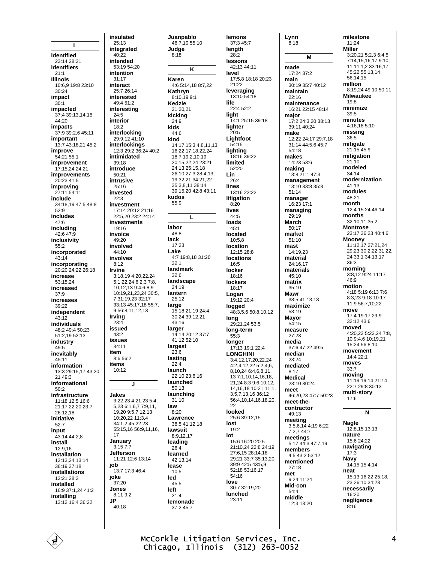$\mathbf{I}$ identified 23:14 28:21 identifiers  $21.1$ **Illinois** 10:6.9 19:8 23:10  $30:24$ impact  $30:1$ impacted 37:4 39:13,14,15  $44.20$ impacts 37:9 39:2,6 45:11 important 13:7 43:18,21 45:2 improve  $54.2155.1$ improvement 17:15.24 24:21 **improvements**  $20.2341.5$ improving 27:11 54:11 include 34:18,19 47:5 48:8  $52:9$ includes  $47.6$ includina  $42:647:9$ inclusivity  $55.2$ incorporated  $43:14$ incorporating 20:20 24:22 26:18 increase  $53.15.24$ increased  $37:9$ increases 39:22 independent 43:12 individuals 48:2 49:4 50:23  $51.21952.13$ industry 49:5 inevitably 45:11 information 13:3 29:15.17 43:20.  $2149:3$ informational  $50.2$ infrastructure 11:18 12:5 16:6 21:17 22:20 23:7  $26:1218$ initiative  $52.7$ input 43:14 44:2,8 install  $12.916$ installation 12:13,24 13:14  $36.1937.18$ installations 12:21 28:2 installed 16:9 37:1 24 41:2 installing 13:12 16:4 36:22

insulated  $25:13$ integrated  $40.22$ intended  $53.1954.20$ intention 31:17 interact  $25.726.14$ interested 49:4 51:2 interesting 24:5 interior  $18:2$ interlocking 29:9,12 41:10 interlockings 12:3 29:2 36:24 40:2 intimidated  $39.18$ introduce  $50:21$ intrusive  $25.16$ invested  $22:3$ investment 17:14 20:12 21:16 22:5.20 23:2 24:14 investments  $19.16$ invoice 49:20 involved  $44.10$ involves  $8:12$ Irvine 3:18.19 4:20.22.24  $5:1$  22 24 6:2 3 7:8 10,12,13 9:4,6,8,9 10:19.21.23.24 30:5. 7 31 19 23 32 17 33:13 45:17 18 55:7 9 56:8,11,12,13 **Irving**  $23.4$ issued  $43.2$ **issues**  $34.11$ item  $8:656:2$ items 10:12  $\mathbf{I}$ Jakes 3:22,23 4:21,23 5:4, 5,23 6:1,6,7 7:9,11, 19,20 9:5,7,12,13 10:20,22 11:3,4 34:1,2 45:22,23 55:15,16 56:9,11,16, 17 January  $3.157.7$ **Jefferson** 11:21 12:6 13:14 job 13:7 17:3 46:4 joke 37:20 Jones 8:11 9:2 **JP** 40:18

Juanpablo 46:7,10 55:10 Judae K Karen 4:6 5:14,18 8:7,22 Kathryn 8:10,199:1 Kedzie  $21:20.21$ kicking  $14:17$  15:3.4.8.11.13 16:22 17:18 22 24 18:7 19:2.10.19 20:15,22,24 23:21 24:13 25:15.18 26:10 27:3 28:4,13, 19 32:21 34:21,22 35:3,8,11 38:14 39:15,20 42:8 43:11 kudos L 17:23 4:7 19:8.18 31:20 landmark landscape  $24.19$ lantern  $25.12$ 15:18 21:19 24:4 30:24 39:12,21  $43.16$ larger 14:14 20:12 37:7 41:12 52:10 largest lasting launch 22:10 23:6.16 launched  $50:13$ launching  $31:10$ Lawrence 38:5 41:12.18 lawsuit  $8.91217$ leading learned 42:13.14 lemonade 37:2 45:7

 $8.18$ 

 $24.9$ 

 $44.6$ 

 $55.9$ 

labor

lack

Lake

 $32.1$ 

 $32:6$ 

large

 $2\bar{3}$ :6

 $22:4$ 

law

 $8.20$ 

 $26.4$ 

lease

led

left

 $10:5$ 

 $45.5$ 

 $21.4$ 

 $48.8$ 

kids

kind

lemons 37:3 45:7 lenath  $28.2$ lessons 42.13 44.11 level 17:5,8 18:18 20:23  $21.22$ leveraging  $13.10.54.18$ life  $22.452.2$ light 14:1 25:15 39:18 lighter  $20.5$ Lightfoot 54:15 lighting  $39:22$ limited 52:20 Lin  $26.4$ lines 13:16 22:22 litigation  $8:20$ lives  $44:5$ loads  $45:1$ located  $10:5.8$ location  $12.1528.8$ **locations**  $16:5$ locker  $18.16$ lockers 18:17 Logan  $19.1220.4$ logged 48:3,5,6 50:8,10,12 long 29:21,24 53:5 long-term  $55:3$ **Ionger**  $17.131912224$ **LONGHINI** 3:4,12,17,20,22,24  $4:2,4,12,22\ 5:2,4,6$ 8,10,24 6:4,6,8,11, 13 7:1.10.14.16.18. 21.24 8:3 9:6.10.12. 14.16.18 10:21 11:1. 35713163612 56:4.10.14.16.18.20. 22 looked 25:6 39:12,15 lost  $19:2$ lot 15:6 16:20 20:5 21:10,24 22:8 24:19 27:6,15 28:14,18 29:21 33:7 35:13,20 39:9 42:5 43:5,9 52:18 53:16.17 54:16 love 30:7 32:19.20 **lunched** 23:11

Lynn  $8:18$ M made  $17.24.37.2$ main 30:19 35:7 40:12 maintain  $22:16$ maintenance 16:21 22:15 48:14 major  $17.22432038.13$ 39:11 40:24 make 12:22 24:17 29:7,18 31:14 44:5,6 45:7  $54.18$ makes 14:23 53:6 making 13:8 21:1 47:3 management 13:10 33:8 35:8  $51.14$ manager 16:23 17:1 managing 29:19 March  $50:17$ market  $51:10$ mast  $14.1923$ material 24:16,17 materials  $45:10$ matrix  $35.10$ Mawr 38:5 41:13,18 maximize  $53.19$ **Mavor** 54:15 measure  $27.23$ media 37:6 47:22 49:5 median 23:24 mediated  $8:17$ **Medical**  $23.1030.24$ meet 46:20,23 47:7 50:23 meet-thecontractor 49:13 meeting 3:5,6,14 4:19 6:22<br>7:2,7 44:7 meetings  $5.1744347719$ members 4:5 43:2 53:12 mentioned  $27.18$ met  $9.2411.24$ Mid-con  $54.4$ middle  $12:3$  13:20

milestone  $11:24$ **Miller**  $3:20,215:2,36:4,5$ 7:14.15.16.17 9:10.  $1111112331617$ 45:22 55:13.14 56:14 15 million 8:19,24 49:10 50:11 **Milwaukee**  $19.8$ minimize  $30 - 5$ minutes 4:16,18 5:10 missing  $36.5$ mitigate 21:15 45:9 mitigation  $21:10$ modeled  $34:14$ modernization 41:13 modules 48:21 month 12:4 15:24 46:14 months 32:10.11 35:2 **Montrose** 23:17 36:23 40:4 6 **Mooney** 11:12, 17 27:21, 24 29:23 30:2,22 31:22, 24 33:1 34:13 17  $36.3$ morning 3:8,12 9:24 11:17  $46.9$ motion 4:18 5:19 6:13 7:6 8:3.23 9:18 10:17 11:9 56:7 10 22 move 17:4 19:17 29:9  $32.12436$ moved 4:20,22 5:22,24 7:8, 10 9:4,6 10:19,21 15:24 56:8.10 movement 14:4 22:1 moves  $33:7$ moving 11:19 19:14 21:14 22:7 29:8 30:13 multi-story  $17:6$ N **Nagle** 12:8,15 13:13 nature 15:6 24:22 navigating

 $17:3$ 

14:15 15:4,14

23 26:10 34:23

necessarily

negligence

16:20

 $8.16$ 

15:13 16:22 25:18

Navy

neat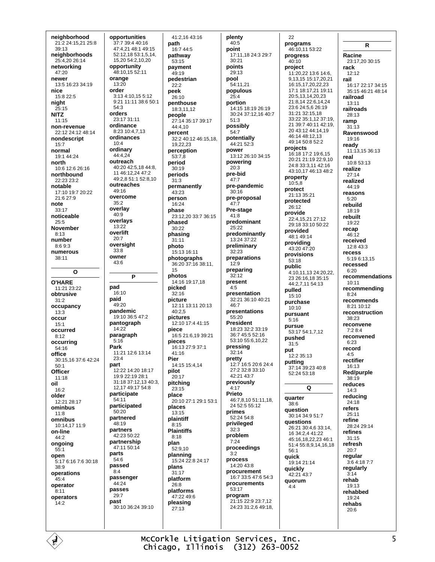neighborhood 21:2 24:15,21 25:8 39:13 neighborhoods 25:4.20 26:14 networking  $47.20$ newer 13:5 16:23 34:19 nice  $15.822.5$ night  $25:15$ **NITZ**  $11.15$ non-revenue 22:12 24:12 48:14 nondescript  $15.7$ normal  $19.144.24$ north 10:6 12:6 26:16 northbound  $22.23.23.2$ notable 17:10 19:7 20:22 21:6 27:9 note  $33.17$ noticeable  $25.5$ **November**  $8:13$ number 8:69:3 numerous  $38.11$  $\mathbf{o}$ O'HARF 11:21 23:22 obtrusive  $31:2$ occupancy  $13:3$ occur  $15:1$ occurred  $8.12$ occurring 54:16 office 30:15,16 37:6 42:24  $50:1$ Officer  $11.18$ oil  $16:2$ older  $12:2128:17$ ominbus  $11:8$ omnibus 10:14,17 11:9 on-line 44:2 ongoing  $55:1$ onen 5:17 6:16 7:6 30:18  $38.9$ operations  $45.4$ operator  $8:11$ operators  $14.2$ 

opportunities 37:7 39:4 40:16 47:4,21 48:1 49:15 52:12,18 53:1,5,14, 15,20 54:2,10,20 opportunity 48:10.15 52:11 orange  $13:20$ order 3:13 4:10.15 5:12 9:21 11:11 38:6 50:1  $54:3$ orders  $23.1731.11$ ordinance  $8.2310.4713$ ordinances  $10A$ ordinary 44:4.24 outreach 40:20 42:5.18 44:8. 11 46:12,24 47:2 49:2.8 51:1 52:8.10 outreaches 49:16 overcome  $35.2$ overlay  $40.9$ overlays 13:22 overlift  $20.7$ oversight  $33:8$ owner 43:6 P nad  $16:10$ paid  $49.20$ pandemic 19:10 36:5 47:2 pantograph  $14.22$ paragraph  $5:16$ Park 11:21 12:6 13:14  $23.4$ part 12:22 14:20 18:17 19:9 22:19 28:1 31:18 37:12,13 40:3, 12,17 49:17 54:8 participate  $54:11$ participated 50:20 partnered 48:19 partners  $42.2350.22$ partnership 47:11 50:14 parts  $54.6$ passed  $8.4$ passenger 44:24 passes  $29 - 7$ past 30:10 36:24 39:10

41:2.16 43:16 path 16:7 44:5 pathway  $53.15$ payment  $49.19$ pedestrian  $22.2$ peek 26:10 penthouse 18:3,11,12 people 27:14 35:17 39:17 44:4,10 percent 32:2 40:12 46:15.18. 19,22,23 perception  $53.78$ period  $30:19$ periods  $31:3$ permanently 43:23 person 16:24 phase 23:12,20 33:7 36:15 phased  $30.22$ phasing  $31:11$ photo 15:13.16:11 photographs 36:20 37:16 38:11,  $15$ photos 14:16 19:17 18 picked  $32.16$ picture 12:11 13:11 20:13  $40:2.5$ pictures 12:10 17:4 41:15 piece 16:5 21:6,19 39:21 pieces 16:13 27:9 37:1  $41.16$ Pier 14:15 15:4.14 pilot  $20:17$ pitching  $23.15$ place 20:10 27:1 29:1 53:1 places  $13.15$ plaintiff  $8:15$ **Plaintiffs**  $8.18$ plan  $52:9.10$ planning 15:24 22:8 24:17 plans  $31:17$ platform  $26.8$ platforms 47:22 49:6 pleasing  $27.13$ 

plenty  $40:5$ point 17:11 18 24:3 29:7  $30.21$ points  $29.13$ pool 54:11.21 populous  $25.4$ portion 14:15 18:19 26:19 30:24 37:12,16 40:7  $51.3$ possibly  $54.7$ potentially 44:21 52:3 power 13:12 26:10 34:15 powering  $20.3$ pre-bid pre-pandemic  $30.16$ pre-proposal  $47.7$ Pre-stage 41:8 predominant  $25.22$ predominantly 13:24 37:22 preliminary  $32:23$ preparations  $12:9$ preparing  $32.12$ present  $4.5$ presentation 32:21.36:10.40:21 46:7 presentations 55:20 **President** 18:23 32:2 33:19 36:7 45:5 52:16 53:10 55:6.10.22 pressing  $32:14$ pretty  $12.716.5206244$  $27.232.833.10$ 42:21 43:7 previously  $4:17$ Prieto 46:7,8,10 51:11.18. 24 52:5 55:12 primes 52:24 54:8 privileged  $32:3$ problem  $7.24$ proceedings  $3:2$ process 14:20 43:8 procurement 16:7 33:5 47:6 54:3 procurements 53:17 program  $21.15229923712$ 24:23 31:2.6 49:18.

programs 46:10.11 53:22 progress  $40.10$ project 11:20,22 13:6 14:6, 9,13,15 15:17,20,21 16:15,17,20,22,23 17:1 18:17,21 19:11 20:5 13 14 20 23 21.8 14 22.6 14 24 23:6 24:5.6 26:19  $31.21$   $32.15$  18 33:22 35:1 12 37:19 21 39:7 40:11 42:19. 20 43:12 44:14,19 46:14 48:12 13 49:14 50:8 52:2 projects 16:18 17:2 19:6,15 20:21 21:19 22:9,10 24:8 33:3,11 42:16 43:10 17 46:13 48:2 property  $10.58$ protect 21:13 35:21 protected  $26.12$ provide 22:4,15,21 27:12 29:18 33:10 50:22 provided 48:1 49:14 providing 43:20 47:20 provisions  $53.18$ public 4:10.11.13 24:20.22. 23 26:16.18 35:15 44.2 7 11 54.13 pulled  $15:10$ purchase  $10:10$ pursuant  $5.16$ pursue 53:17 54:1,7,12 pushed  $31.5$ put 12:2 35:13 putting<br>37:14 39:23 40:8 52:24 53:18  $\Omega$ quarter  $38.6$ question 30:14 34:9 51:7 questions 26:21 30:4 6 33:14 16 34 2 4 41 22 45:16 18 22 23 46:1 51:4 55:8 9 14 16 18  $56.1$ quick 19:14 21:14 quickly 42:21 43:7 **auorum**  $4:4$ 

 $22$ 

R Racine 23:17,20 30:15 rack  $12.12$ rail 16:17 22:17 34:15 35:15 46:21 48:14 railroad  $13:11$ railroads 28:13 ramp  $31:13$ Ravenswood 19:16 ready 11:13,15 36:13 real 10:8 53:13 realize  $27.14$ realized 44:19 reasons  $5:20$ rebuild  $18.19$ rebuilt 19:22 recap 46:12 received  $12.843.3$ recess 5:19 6:13,15 recessed  $6.20$ recommendations  $10:11$ recommending  $8:24$ recommends  $8.2110.12$ reconstruction  $38.23$ reconvene  $7.2814$ reconvened  $6:23$ record  $4.5$ rectifier 16:13 Red/purple  $38:19$ reduces  $14:3$ reducing  $24.18$ refers 25:11 refine 28:24 29:14 refines  $31:15$ refresh  $20:7$ regular 3:6 4:18 7:7 regularly  $3:14$ rehab 19:13 rehabhed  $19.24$ rehabs  $20.6$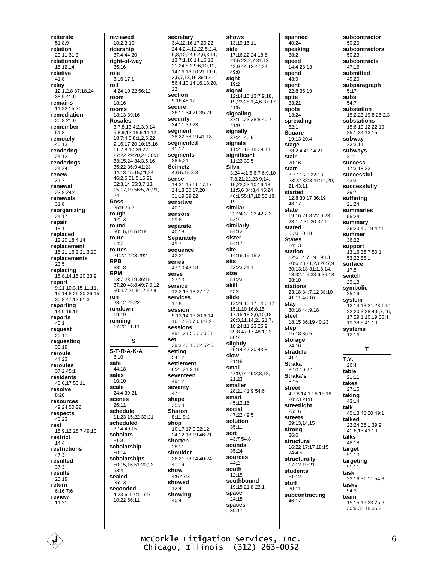reiterate 51:8,9 relation 29:11 31:3 relationshin 15:12.14 relative 41:8 relav  $12:1.2.837:18.24$  $38.9416$ remains 11:22 15:21 remediation  $20.821.9$ remember  $51:8$ remotely 40:13 rendering  $24.12$ renderings 24:24 renew  $31.7$ renewal  $23.824.4$ renewals  $31:8$ reorganizing 24:17 repair  $18:1$ replaced 12:20 18:4,14 renlacement 15:21 16:2 21:3 20 replacements  $23:5$ replacing 18:8.14.15.20 23:9 report 9:21 10:3,15 11:11 19 14:8 26:20 29:15  $30.847.1251.3$ reporting 14:9 16:16 reports  $43.1$ request  $20:17$ requesting  $33.19$ reroute 44:23 reroutes 37:2 45:1 residents 48.6.17.50.11 resolve  $8:20$ resources 49:24 50:22 respects  $43.23$ rest 15:9,12 28:7 49:10 restrict  $14.4$ restrictions  $47:3$ resulted  $37.3$ results  $20.19$ return  $6.1676$ review  $11.21$ 

reviewed  $10:2.3.10$ ridership  $37.444.20$ right-of-way  $35.16$ role 3:16 17:1 roll  $4.24$  10.22 56.12 room 18:16 rooms 18:13 39:16 **Rosales** 3:7,8,13 4:2,3,9,14 5:8.9.12.18 6:11.12. 18 7:4,5 8:1,2,5,22 9:16,17,20 10:15,16 11:7,8,10 26:22 27:22 29:20,24 30:3 33:15,24 34:3,5,16 35:22 36:9 41:23 44:13 45:15,21,24 46:2,6 51:5,16,21 52:3,14 55:3,7,13, 15 17 19 56:5 20 21 24 **Ross**  $25.926.2$ rough 42:13 round  $50.15$  16  $51.18$ route  $14:7$ routes 21:22 22:3 29:4 **RPR** 38:18 **RPM** 13:7 23:19 36:15 37:20 48:8 49:7,9,12 50:4,7,21 51:2 52:9 run 28:12.29:22 rundown 19:19 running  $17.22\,41.11$  $\mathbf{s}$  $S-T-R-A-K-A$  $8.10$ safe  $44.18$ sales  $10:10$ scale 24:4 39:21 scenes  $26:11$ schedule 11:23 15:22 33:21 scheduled  $3:1449:15$ scholars  $51:8$ scholarship  $50.14$ scholarships 50:15,16 51:20,23  $53:4$ sealed  $25.13$ seconded 4:23 6:1 7:11 9:7 10:22 56:11

secretary 3:4,12,16,17,20,22, 24 4:2,4,12,22 5:2,4, 6,8,10,24 6:4,6,8,11, 13 7:1,10,14,16,18, 21,24 8:3 9:6,10,12, 14, 16, 18 10: 21 11: 1, 3 5 7 13 16 36 12 56:4,10,14,16,18,20, つつ section 5:16 48:17 secure 26:11 34:21 35:21 security 34:11 39:23 segment 28:22 38:19 41:18 seamented  $41.17$ segments  $28:5.21$ **Seimetz** 4:6 5:15 8:8 sense 14:21 15:11 17:17  $24.1330.1720$  $31.1939.22$ sensitive  $40:1$ sensors  $29:6$ separate  $40.18$ Separately 49:7 sequence  $42.21$ series 47:10 48:18 serve  $37.10$ **service** 12:2 13:18 27:12 services  $17.6$ session 5:13,14,16,20 6:14, 16.17.20 7:6 8:7.9 sessions 49:1,21 50:2,20 51:1 set 29:3 46:15.22 52:6 settina  $54:12$ settlement  $8.21249.18$ seventeen  $49.12$ seventy  $47:1$ shape  $35:24$ Sharon  $8.119.2$ shop 16:17 17:6 22:12 24:12,18,19 46:21 shorten  $28.11$ shoulder 36:21 38:14 40:24  $41.19$ show  $4:647:3$ showed  $12:4$ showing  $40:4$ 

shows 13:19 16:11 side 17:16 22 24 18:6 21:5 23:2.7 31:13  $42.9441247.24$  $49.8$ sight  $19:2$ signal 12:14.16 13:7.9.18. 19.23 28:1.4.6 37:17  $41:5$ signaling 37:11,23 38:8 40:7  $41:9$ signally 37:21 40:9 signals 11:21 12:18 29:13 significant 11:23 39:5 **Silva** 3:24 4:1 5:6.7 6:9.10 7.3 21 22 23 9.14 15 22 23 10:16 18 11:5 6 34:3 4 45:24 46:1 55:17,18 56:18,  $19$ similar 22:24 30:23 42:2.3  $52:7$ similarly  $54.12$ sister 54:17 site 14:16.19 15:2 sits 23:23 24:1 size 51:23 skill  $45:4$ slide 12:24 13:17 14:6 17 15:1,10 16:8,15 17:15 18:2,6,10,18 20:3.11.14.21.21:7. 18 24:11 23 25:9 39:8 47:17 48:1,23  $50:7$ slightly  $25.1442.20438$ slow  $21:15$ small 47:9.14 49:2.8.18. 21 23 smaller 28:21 41:9 54:6 smart 45:12.15 social  $47.2249.5$ solution 35:11 sort 43:7 54:8 sounds  $35:24$ sources  $44.2$ south  $12.15$ southbound 19:15 21:8 23:1 space  $24:18$ spaces  $39.17$ 

spanned  $40:24$ speaking  $38.2$ speed  $14.428.13$ spend 43:9 spent  $22.8.35.19$ spite 33:21 spots  $13:24$ spreading  $52:1$ **Square** 19:13 20:4 stage 38:2.4 41:14.21 stair  $20.16$ start 3:7 11:20 22:13 23:22 38:3 41:14,20,  $2143.11$ started 12:8 30:17 36:19  $48.17$ state 19:16 21:8 22:9,23 23:1.7 31:20 32:1 stated  $5.2010.18$ **States**  $14:13$ station 12:6 14:7.19 19:13 20:6 23:21.23 26:7.9 30:13,18 31:1,8,14, 18 32:4.6 33:6 36:18  $38.18$ stations 23:18 34:7,12 38:10 41:11 46:16 stav 30:18 44:9.18 steel 18:15 36:19 40:23 step 15:18 36:5 storage  $24.16$ straddle  $41:1$ **Straka** 8:10.19 9:1 Straka's  $8:15$ street 4:7 8:14 17:8 19:16 20:23 21:8 streetlight  $25.16$ streets 39:13.14.15 strong  $36:6$ structural 16:22 17:17 18:15 24:4,5 structurally 17:12 19:21 students  $51.12$ stuff  $30:11$ subcontracting 46:17

subcontractor  $50:20$ subcontractors  $50.23$ subcontracts  $47.16$ submitted 49:20 subparagraph  $5:17$ subs 54:7 substation 15:2,23 19:8 25:2,3 substations 15:6 19:12 22:19 25:1 34:13.15 subway  $23:3,11$ subways  $21.11$ **SUCCeSS** 17:3 18:22 successful  $43:3$ successfully  $39:7$ suffering 21:24 summaries 55:24 summary 26:23 40:19 42:1 summer 36:22 support  $13.16.36.7.50.1$  $53.22.55.1$ surface  $17:5$ switch  $29.13$ symbolic  $25.19$ system 12:14 13:21,23 14:1, 22 20:3 28:4 6.7.16. 17 29:1.10.19 35:4. 19 38:8 41:10 systems 12:16 T T.Y.  $26.4$ table  $21.11$ takes  $27:15$ taking  $43:14$ talk 40:18 48:20 49:1 talked 22:24 35:1 39:9 41:6,13 43:10 talks  $48:18$ target  $51:10$ targeting  $51:11$ task 23:16 31:11 54:3 tasks  $54:3$ team 15:15 16:23 25:6

McCorkle Litigation Services, Inc. Chicago, Illinois (312) 263-0052 30:9 33:18 35:2